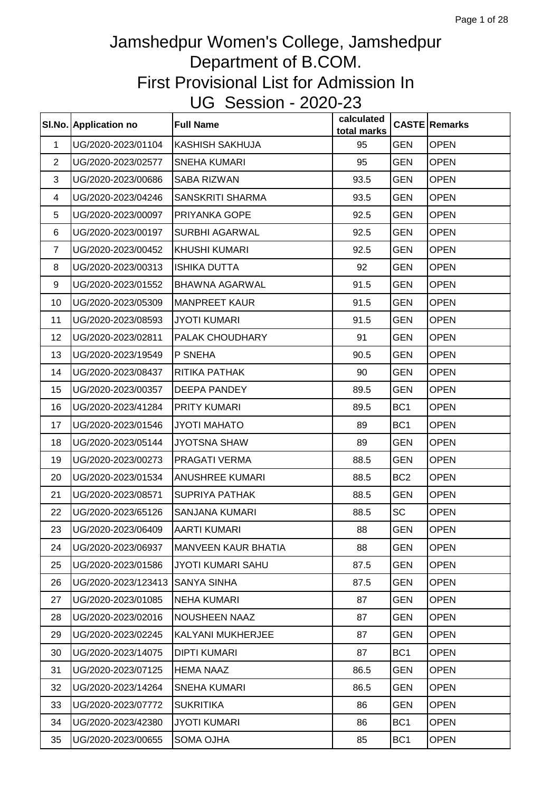|                | SI.No. Application no | <b>Full Name</b>           | calculated<br>total marks |                 | <b>CASTE Remarks</b> |
|----------------|-----------------------|----------------------------|---------------------------|-----------------|----------------------|
| $\mathbf{1}$   | UG/2020-2023/01104    | <b>KASHISH SAKHUJA</b>     | 95                        | <b>GEN</b>      | OPEN                 |
| $\overline{2}$ | UG/2020-2023/02577    | <b>SNEHA KUMARI</b>        | 95                        | <b>GEN</b>      | <b>OPEN</b>          |
| 3              | UG/2020-2023/00686    | SABA RIZWAN                | 93.5                      | <b>GEN</b>      | <b>OPEN</b>          |
| 4              | UG/2020-2023/04246    | SANSKRITI SHARMA           | 93.5                      | <b>GEN</b>      | <b>OPEN</b>          |
| 5              | UG/2020-2023/00097    | PRIYANKA GOPE              | 92.5                      | <b>GEN</b>      | <b>OPEN</b>          |
| 6              | UG/2020-2023/00197    | <b>SURBHI AGARWAL</b>      | 92.5                      | <b>GEN</b>      | <b>OPEN</b>          |
| $\overline{7}$ | UG/2020-2023/00452    | <b>KHUSHI KUMARI</b>       | 92.5                      | <b>GEN</b>      | <b>OPEN</b>          |
| 8              | UG/2020-2023/00313    | <b>ISHIKA DUTTA</b>        | 92                        | <b>GEN</b>      | <b>OPEN</b>          |
| 9              | UG/2020-2023/01552    | <b>BHAWNA AGARWAL</b>      | 91.5                      | <b>GEN</b>      | <b>OPEN</b>          |
| 10             | UG/2020-2023/05309    | <b>MANPREET KAUR</b>       | 91.5                      | <b>GEN</b>      | <b>OPEN</b>          |
| 11             | UG/2020-2023/08593    | <b>JYOTI KUMARI</b>        | 91.5                      | <b>GEN</b>      | <b>OPEN</b>          |
| 12             | UG/2020-2023/02811    | PALAK CHOUDHARY            | 91                        | <b>GEN</b>      | <b>OPEN</b>          |
| 13             | UG/2020-2023/19549    | P SNEHA                    | 90.5                      | <b>GEN</b>      | <b>OPEN</b>          |
| 14             | UG/2020-2023/08437    | RITIKA PATHAK              | 90                        | <b>GEN</b>      | <b>OPEN</b>          |
| 15             | UG/2020-2023/00357    | DEEPA PANDEY               | 89.5                      | <b>GEN</b>      | <b>OPEN</b>          |
| 16             | UG/2020-2023/41284    | PRITY KUMARI               | 89.5                      | BC <sub>1</sub> | <b>OPEN</b>          |
| 17             | UG/2020-2023/01546    | JYOTI MAHATO               | 89                        | BC <sub>1</sub> | <b>OPEN</b>          |
| 18             | UG/2020-2023/05144    | <b>JYOTSNA SHAW</b>        | 89                        | <b>GEN</b>      | <b>OPEN</b>          |
| 19             | UG/2020-2023/00273    | PRAGATI VERMA              | 88.5                      | <b>GEN</b>      | <b>OPEN</b>          |
| 20             | UG/2020-2023/01534    | <b>ANUSHREE KUMARI</b>     | 88.5                      | BC <sub>2</sub> | <b>OPEN</b>          |
| 21             | UG/2020-2023/08571    | <b>SUPRIYA PATHAK</b>      | 88.5                      | <b>GEN</b>      | <b>OPEN</b>          |
| 22             | UG/2020-2023/65126    | SANJANA KUMARI             | 88.5                      | <b>SC</b>       | <b>OPEN</b>          |
| 23             | UG/2020-2023/06409    | AARTI KUMARI               | 88                        | <b>GEN</b>      | <b>OPEN</b>          |
| 24             | UG/2020-2023/06937    | <b>MANVEEN KAUR BHATIA</b> | 88                        | GEN             | <b>OPEN</b>          |
| 25             | UG/2020-2023/01586    | <b>JYOTI KUMARI SAHU</b>   | 87.5                      | <b>GEN</b>      | <b>OPEN</b>          |
| 26             | UG/2020-2023/123413   | <b>SANYA SINHA</b>         | 87.5                      | <b>GEN</b>      | <b>OPEN</b>          |
| 27             | UG/2020-2023/01085    | <b>NEHA KUMARI</b>         | 87                        | <b>GEN</b>      | <b>OPEN</b>          |
| 28             | UG/2020-2023/02016    | NOUSHEEN NAAZ              | 87                        | <b>GEN</b>      | <b>OPEN</b>          |
| 29             | UG/2020-2023/02245    | KALYANI MUKHERJEE          | 87                        | <b>GEN</b>      | <b>OPEN</b>          |
| 30             | UG/2020-2023/14075    | <b>DIPTI KUMARI</b>        | 87                        | BC <sub>1</sub> | <b>OPEN</b>          |
| 31             | UG/2020-2023/07125    | <b>HEMA NAAZ</b>           | 86.5                      | GEN             | <b>OPEN</b>          |
| 32             | UG/2020-2023/14264    | <b>SNEHA KUMARI</b>        | 86.5                      | <b>GEN</b>      | <b>OPEN</b>          |
| 33             | UG/2020-2023/07772    | <b>SUKRITIKA</b>           | 86                        | <b>GEN</b>      | <b>OPEN</b>          |
| 34             | UG/2020-2023/42380    | <b>JYOTI KUMARI</b>        | 86                        | BC <sub>1</sub> | <b>OPEN</b>          |
| 35             | UG/2020-2023/00655    | SOMA OJHA                  | 85                        | BC <sub>1</sub> | <b>OPEN</b>          |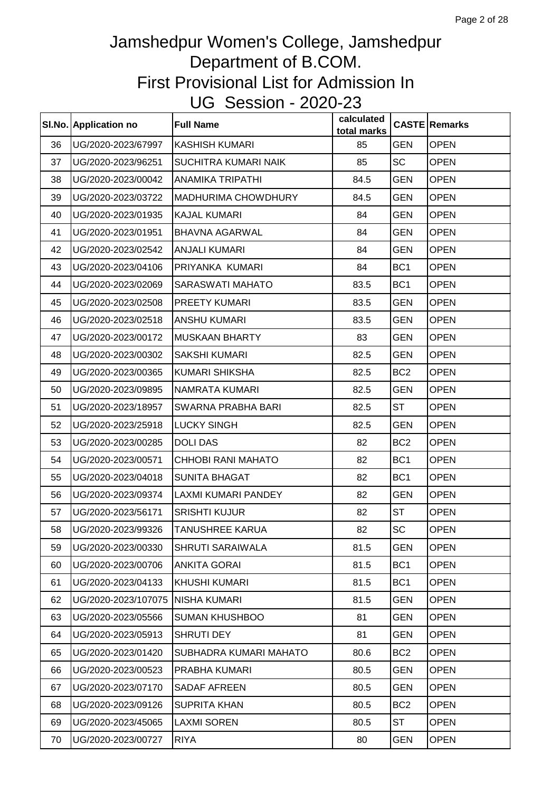|    | SI.No. Application no | <b>Full Name</b>          | calculated<br>total marks |                 | <b>CASTE Remarks</b> |
|----|-----------------------|---------------------------|---------------------------|-----------------|----------------------|
| 36 | UG/2020-2023/67997    | <b>KASHISH KUMARI</b>     | 85                        | <b>GEN</b>      | <b>OPEN</b>          |
| 37 | UG/2020-2023/96251    | SUCHITRA KUMARI NAIK      | 85                        | <b>SC</b>       | <b>OPEN</b>          |
| 38 | UG/2020-2023/00042    | <b>ANAMIKA TRIPATHI</b>   | 84.5                      | <b>GEN</b>      | <b>OPEN</b>          |
| 39 | UG/2020-2023/03722    | MADHURIMA CHOWDHURY       | 84.5                      | GEN             | <b>OPEN</b>          |
| 40 | UG/2020-2023/01935    | <b>KAJAL KUMARI</b>       | 84                        | <b>GEN</b>      | OPEN                 |
| 41 | UG/2020-2023/01951    | <b>BHAVNA AGARWAL</b>     | 84                        | <b>GEN</b>      | <b>OPEN</b>          |
| 42 | UG/2020-2023/02542    | <b>ANJALI KUMARI</b>      | 84                        | <b>GEN</b>      | <b>OPEN</b>          |
| 43 | UG/2020-2023/04106    | PRIYANKA KUMARI           | 84                        | BC <sub>1</sub> | <b>OPEN</b>          |
| 44 | UG/2020-2023/02069    | <b>SARASWATI MAHATO</b>   | 83.5                      | BC <sub>1</sub> | <b>OPEN</b>          |
| 45 | UG/2020-2023/02508    | PREETY KUMARI             | 83.5                      | <b>GEN</b>      | <b>OPEN</b>          |
| 46 | UG/2020-2023/02518    | <b>ANSHU KUMARI</b>       | 83.5                      | GEN             | <b>OPEN</b>          |
| 47 | UG/2020-2023/00172    | <b>MUSKAAN BHARTY</b>     | 83                        | GEN             | <b>OPEN</b>          |
| 48 | UG/2020-2023/00302    | <b>SAKSHI KUMARI</b>      | 82.5                      | <b>GEN</b>      | <b>OPEN</b>          |
| 49 | UG/2020-2023/00365    | KUMARI SHIKSHA            | 82.5                      | BC <sub>2</sub> | <b>OPEN</b>          |
| 50 | UG/2020-2023/09895    | NAMRATA KUMARI            | 82.5                      | <b>GEN</b>      | <b>OPEN</b>          |
| 51 | UG/2020-2023/18957    | SWARNA PRABHA BARI        | 82.5                      | ST              | <b>OPEN</b>          |
| 52 | UG/2020-2023/25918    | <b>LUCKY SINGH</b>        | 82.5                      | <b>GEN</b>      | <b>OPEN</b>          |
| 53 | UG/2020-2023/00285    | <b>DOLI DAS</b>           | 82                        | BC <sub>2</sub> | <b>OPEN</b>          |
| 54 | UG/2020-2023/00571    | <b>CHHOBI RANI MAHATO</b> | 82                        | BC <sub>1</sub> | <b>OPEN</b>          |
| 55 | UG/2020-2023/04018    | <b>SUNITA BHAGAT</b>      | 82                        | BC <sub>1</sub> | <b>OPEN</b>          |
| 56 | UG/2020-2023/09374    | LAXMI KUMARI PANDEY       | 82                        | GEN             | <b>OPEN</b>          |
| 57 | UG/2020-2023/56171    | <b>SRISHTI KUJUR</b>      | 82                        | ST              | <b>OPEN</b>          |
| 58 | UG/2020-2023/99326    | TANUSHREE KARUA           | 82                        | <b>SC</b>       | <b>OPEN</b>          |
| 59 | UG/2020-2023/00330    | <b>SHRUTI SARAIWALA</b>   | 81.5                      | GEN             | <b>OPEN</b>          |
| 60 | UG/2020-2023/00706    | <b>ANKITA GORAI</b>       | 81.5                      | BC <sub>1</sub> | <b>OPEN</b>          |
| 61 | UG/2020-2023/04133    | <b>KHUSHI KUMARI</b>      | 81.5                      | BC <sub>1</sub> | <b>OPEN</b>          |
| 62 | UG/2020-2023/107075   | NISHA KUMARI              | 81.5                      | GEN             | <b>OPEN</b>          |
| 63 | UG/2020-2023/05566    | <b>SUMAN KHUSHBOO</b>     | 81                        | <b>GEN</b>      | <b>OPEN</b>          |
| 64 | UG/2020-2023/05913    | SHRUTI DEY                | 81                        | <b>GEN</b>      | <b>OPEN</b>          |
| 65 | UG/2020-2023/01420    | SUBHADRA KUMARI MAHATO    | 80.6                      | BC <sub>2</sub> | <b>OPEN</b>          |
| 66 | UG/2020-2023/00523    | PRABHA KUMARI             | 80.5                      | GEN             | <b>OPEN</b>          |
| 67 | UG/2020-2023/07170    | <b>SADAF AFREEN</b>       | 80.5                      | GEN             | <b>OPEN</b>          |
| 68 | UG/2020-2023/09126    | <b>SUPRITA KHAN</b>       | 80.5                      | BC <sub>2</sub> | <b>OPEN</b>          |
| 69 | UG/2020-2023/45065    | <b>LAXMI SOREN</b>        | 80.5                      | ST              | <b>OPEN</b>          |
| 70 | UG/2020-2023/00727    | <b>RIYA</b>               | 80                        | <b>GEN</b>      | <b>OPEN</b>          |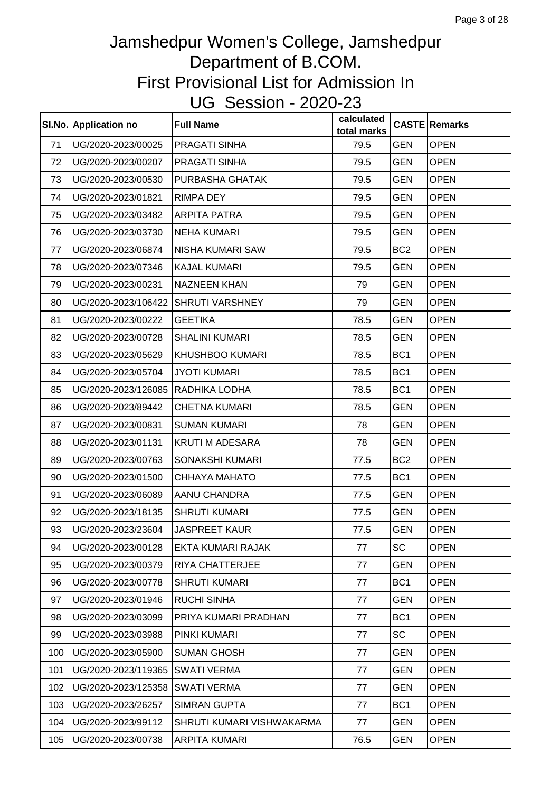|     | SI.No. Application no | <b>Full Name</b>          | calculated<br>total marks |                 | <b>CASTE Remarks</b> |
|-----|-----------------------|---------------------------|---------------------------|-----------------|----------------------|
| 71  | UG/2020-2023/00025    | PRAGATI SINHA             | 79.5                      | GEN             | <b>OPEN</b>          |
| 72  | UG/2020-2023/00207    | PRAGATI SINHA             | 79.5                      | <b>GEN</b>      | <b>OPEN</b>          |
| 73  | UG/2020-2023/00530    | PURBASHA GHATAK           | 79.5                      | <b>GEN</b>      | <b>OPEN</b>          |
| 74  | UG/2020-2023/01821    | <b>RIMPA DEY</b>          | 79.5                      | <b>GEN</b>      | <b>OPEN</b>          |
| 75  | UG/2020-2023/03482    | <b>ARPITA PATRA</b>       | 79.5                      | <b>GEN</b>      | <b>OPEN</b>          |
| 76  | UG/2020-2023/03730    | <b>NEHA KUMARI</b>        | 79.5                      | <b>GEN</b>      | <b>OPEN</b>          |
| 77  | UG/2020-2023/06874    | NISHA KUMARI SAW          | 79.5                      | BC <sub>2</sub> | <b>OPEN</b>          |
| 78  | UG/2020-2023/07346    | <b>KAJAL KUMARI</b>       | 79.5                      | <b>GEN</b>      | <b>OPEN</b>          |
| 79  | UG/2020-2023/00231    | <b>NAZNEEN KHAN</b>       | 79                        | <b>GEN</b>      | <b>OPEN</b>          |
| 80  | UG/2020-2023/106422   | <b>SHRUTI VARSHNEY</b>    | 79                        | <b>GEN</b>      | <b>OPEN</b>          |
| 81  | UG/2020-2023/00222    | <b>GEETIKA</b>            | 78.5                      | GEN             | <b>OPEN</b>          |
| 82  | UG/2020-2023/00728    | <b>SHALINI KUMARI</b>     | 78.5                      | <b>GEN</b>      | <b>OPEN</b>          |
| 83  | UG/2020-2023/05629    | KHUSHBOO KUMARI           | 78.5                      | BC <sub>1</sub> | <b>OPEN</b>          |
| 84  | UG/2020-2023/05704    | <b>JYOTI KUMARI</b>       | 78.5                      | BC <sub>1</sub> | <b>OPEN</b>          |
| 85  | UG/2020-2023/126085   | <b>RADHIKA LODHA</b>      | 78.5                      | BC <sub>1</sub> | <b>OPEN</b>          |
| 86  | UG/2020-2023/89442    | <b>CHETNA KUMARI</b>      | 78.5                      | GEN             | <b>OPEN</b>          |
| 87  | UG/2020-2023/00831    | <b>SUMAN KUMARI</b>       | 78                        | <b>GEN</b>      | <b>OPEN</b>          |
| 88  | UG/2020-2023/01131    | <b>KRUTI M ADESARA</b>    | 78                        | <b>GEN</b>      | <b>OPEN</b>          |
| 89  | UG/2020-2023/00763    | SONAKSHI KUMARI           | 77.5                      | BC <sub>2</sub> | <b>OPEN</b>          |
| 90  | UG/2020-2023/01500    | CHHAYA MAHATO             | 77.5                      | BC <sub>1</sub> | <b>OPEN</b>          |
| 91  | UG/2020-2023/06089    | AANU CHANDRA              | 77.5                      | GEN             | <b>OPEN</b>          |
| 92  | UG/2020-2023/18135    | <b>SHRUTI KUMARI</b>      | 77.5                      | <b>GEN</b>      | <b>OPEN</b>          |
| 93  | UG/2020-2023/23604    | JASPREET KAUR             | 77.5                      | <b>GEN</b>      | OPEN                 |
| 94  | UG/2020-2023/00128    | EKTA KUMARI RAJAK         | 77                        | <b>SC</b>       | <b>OPEN</b>          |
| 95  | UG/2020-2023/00379    | <b>RIYA CHATTERJEE</b>    | 77                        | <b>GEN</b>      | <b>OPEN</b>          |
| 96  | UG/2020-2023/00778    | <b>SHRUTI KUMARI</b>      | 77                        | BC <sub>1</sub> | <b>OPEN</b>          |
| 97  | UG/2020-2023/01946    | <b>RUCHI SINHA</b>        | 77                        | <b>GEN</b>      | <b>OPEN</b>          |
| 98  | UG/2020-2023/03099    | PRIYA KUMARI PRADHAN      | 77                        | BC <sub>1</sub> | <b>OPEN</b>          |
| 99  | UG/2020-2023/03988    | PINKI KUMARI              | 77                        | <b>SC</b>       | <b>OPEN</b>          |
| 100 | UG/2020-2023/05900    | <b>SUMAN GHOSH</b>        | 77                        | <b>GEN</b>      | <b>OPEN</b>          |
| 101 | UG/2020-2023/119365   | <b>SWATI VERMA</b>        | 77                        | <b>GEN</b>      | <b>OPEN</b>          |
| 102 | UG/2020-2023/125358   | <b>SWATI VERMA</b>        | 77                        | <b>GEN</b>      | <b>OPEN</b>          |
| 103 | UG/2020-2023/26257    | <b>SIMRAN GUPTA</b>       | 77                        | BC <sub>1</sub> | <b>OPEN</b>          |
| 104 | UG/2020-2023/99112    | SHRUTI KUMARI VISHWAKARMA | 77                        | <b>GEN</b>      | <b>OPEN</b>          |
| 105 | UG/2020-2023/00738    | ARPITA KUMARI             | 76.5                      | <b>GEN</b>      | <b>OPEN</b>          |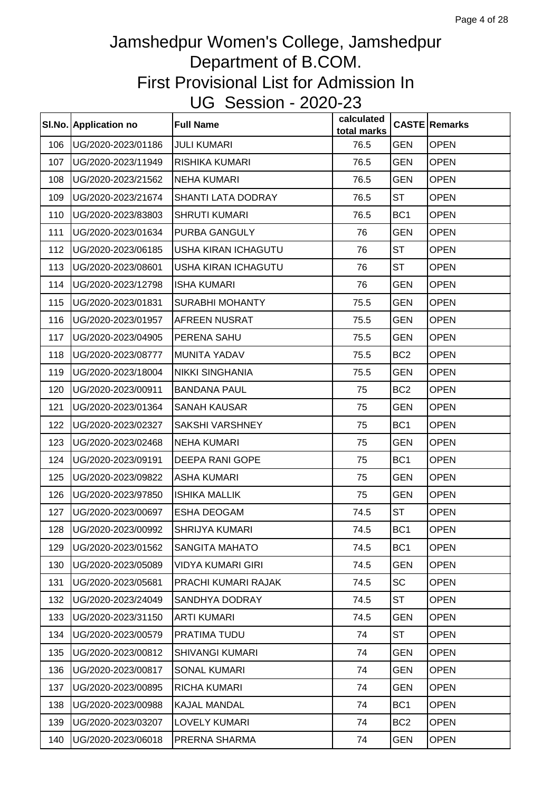|     | SI.No. Application no | <b>Full Name</b>         | calculated<br>total marks |                 | <b>CASTE Remarks</b> |
|-----|-----------------------|--------------------------|---------------------------|-----------------|----------------------|
| 106 | UG/2020-2023/01186    | <b>JULI KUMARI</b>       | 76.5                      | <b>GEN</b>      | <b>OPEN</b>          |
| 107 | UG/2020-2023/11949    | <b>RISHIKA KUMARI</b>    | 76.5                      | <b>GEN</b>      | <b>OPEN</b>          |
| 108 | UG/2020-2023/21562    | <b>NEHA KUMARI</b>       | 76.5                      | <b>GEN</b>      | <b>OPEN</b>          |
| 109 | UG/2020-2023/21674    | SHANTI LATA DODRAY       | 76.5                      | <b>ST</b>       | <b>OPEN</b>          |
| 110 | UG/2020-2023/83803    | <b>SHRUTI KUMARI</b>     | 76.5                      | BC <sub>1</sub> | OPEN                 |
| 111 | UG/2020-2023/01634    | PURBA GANGULY            | 76                        | <b>GEN</b>      | <b>OPEN</b>          |
| 112 | UG/2020-2023/06185    | USHA KIRAN ICHAGUTU      | 76                        | <b>ST</b>       | <b>OPEN</b>          |
| 113 | UG/2020-2023/08601    | USHA KIRAN ICHAGUTU      | 76                        | <b>ST</b>       | <b>OPEN</b>          |
| 114 | UG/2020-2023/12798    | <b>ISHA KUMARI</b>       | 76                        | <b>GEN</b>      | <b>OPEN</b>          |
| 115 | UG/2020-2023/01831    | <b>SURABHI MOHANTY</b>   | 75.5                      | GEN             | <b>OPEN</b>          |
| 116 | UG/2020-2023/01957    | <b>AFREEN NUSRAT</b>     | 75.5                      | GEN             | <b>OPEN</b>          |
| 117 | UG/2020-2023/04905    | PERENA SAHU              | 75.5                      | GEN             | <b>OPEN</b>          |
| 118 | UG/2020-2023/08777    | <b>MUNITA YADAV</b>      | 75.5                      | BC <sub>2</sub> | <b>OPEN</b>          |
| 119 | UG/2020-2023/18004    | <b>NIKKI SINGHANIA</b>   | 75.5                      | GEN             | <b>OPEN</b>          |
| 120 | UG/2020-2023/00911    | <b>BANDANA PAUL</b>      | 75                        | BC <sub>2</sub> | <b>OPEN</b>          |
| 121 | UG/2020-2023/01364    | <b>SANAH KAUSAR</b>      | 75                        | <b>GEN</b>      | <b>OPEN</b>          |
| 122 | UG/2020-2023/02327    | <b>SAKSHI VARSHNEY</b>   | 75                        | BC <sub>1</sub> | <b>OPEN</b>          |
| 123 | UG/2020-2023/02468    | <b>NEHA KUMARI</b>       | 75                        | <b>GEN</b>      | <b>OPEN</b>          |
| 124 | UG/2020-2023/09191    | <b>DEEPA RANI GOPE</b>   | 75                        | BC <sub>1</sub> | <b>OPEN</b>          |
| 125 | UG/2020-2023/09822    | <b>ASHA KUMARI</b>       | 75                        | GEN             | <b>OPEN</b>          |
| 126 | UG/2020-2023/97850    | <b>ISHIKA MALLIK</b>     | 75                        | GEN             | <b>OPEN</b>          |
| 127 | UG/2020-2023/00697    | <b>ESHA DEOGAM</b>       | 74.5                      | ST              | <b>OPEN</b>          |
| 128 | UG/2020-2023/00992    | SHRIJYA KUMARI           | 74.5                      | BC <sub>1</sub> | <b>OPEN</b>          |
| 129 | UG/2020-2023/01562    | SANGITA MAHATO           | 74.5                      | BC <sub>1</sub> | <b>OPEN</b>          |
| 130 | UG/2020-2023/05089    | <b>VIDYA KUMARI GIRI</b> | 74.5                      | <b>GEN</b>      | <b>OPEN</b>          |
| 131 | UG/2020-2023/05681    | PRACHI KUMARI RAJAK      | 74.5                      | SC              | <b>OPEN</b>          |
| 132 | UG/2020-2023/24049    | SANDHYA DODRAY           | 74.5                      | ST              | <b>OPEN</b>          |
| 133 | UG/2020-2023/31150    | <b>ARTI KUMARI</b>       | 74.5                      | <b>GEN</b>      | <b>OPEN</b>          |
| 134 | UG/2020-2023/00579    | PRATIMA TUDU             | 74                        | <b>ST</b>       | <b>OPEN</b>          |
| 135 | UG/2020-2023/00812    | <b>SHIVANGI KUMARI</b>   | 74                        | GEN             | <b>OPEN</b>          |
| 136 | UG/2020-2023/00817    | <b>SONAL KUMARI</b>      | 74                        | <b>GEN</b>      | <b>OPEN</b>          |
| 137 | UG/2020-2023/00895    | <b>RICHA KUMARI</b>      | 74                        | <b>GEN</b>      | <b>OPEN</b>          |
| 138 | UG/2020-2023/00988    | <b>KAJAL MANDAL</b>      | 74                        | BC <sub>1</sub> | <b>OPEN</b>          |
| 139 | UG/2020-2023/03207    | <b>LOVELY KUMARI</b>     | 74                        | BC <sub>2</sub> | <b>OPEN</b>          |
| 140 | UG/2020-2023/06018    | PRERNA SHARMA            | 74                        | <b>GEN</b>      | <b>OPEN</b>          |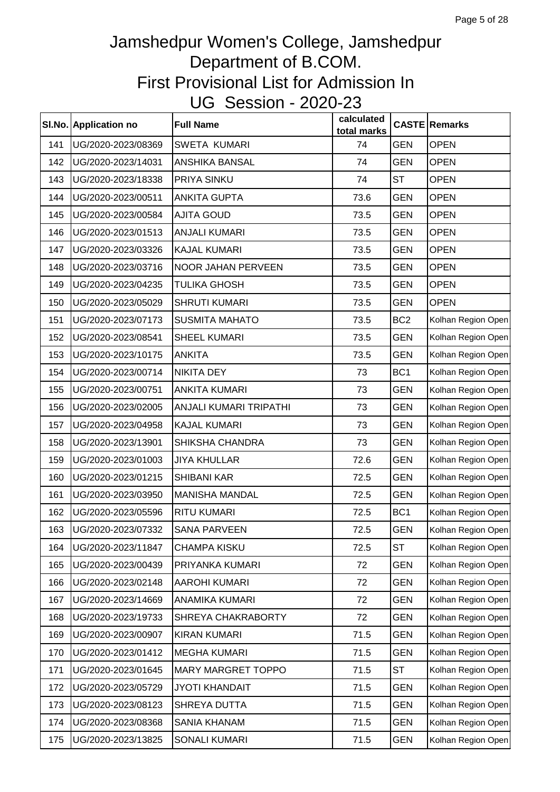|     | SI.No. Application no | <b>Full Name</b>          | calculated<br>total marks |                 | <b>CASTE Remarks</b> |
|-----|-----------------------|---------------------------|---------------------------|-----------------|----------------------|
| 141 | UG/2020-2023/08369    | <b>SWETA KUMARI</b>       | 74                        | <b>GEN</b>      | <b>OPEN</b>          |
| 142 | UG/2020-2023/14031    | ANSHIKA BANSAL            | 74                        | <b>GEN</b>      | <b>OPEN</b>          |
| 143 | UG/2020-2023/18338    | PRIYA SINKU               | 74                        | <b>ST</b>       | <b>OPEN</b>          |
| 144 | UG/2020-2023/00511    | <b>ANKITA GUPTA</b>       | 73.6                      | <b>GEN</b>      | <b>OPEN</b>          |
| 145 | UG/2020-2023/00584    | <b>AJITA GOUD</b>         | 73.5                      | <b>GEN</b>      | <b>OPEN</b>          |
| 146 | UG/2020-2023/01513    | <b>ANJALI KUMARI</b>      | 73.5                      | <b>GEN</b>      | <b>OPEN</b>          |
| 147 | UG/2020-2023/03326    | <b>KAJAL KUMARI</b>       | 73.5                      | <b>GEN</b>      | <b>OPEN</b>          |
| 148 | UG/2020-2023/03716    | NOOR JAHAN PERVEEN        | 73.5                      | <b>GEN</b>      | <b>OPEN</b>          |
| 149 | UG/2020-2023/04235    | <b>TULIKA GHOSH</b>       | 73.5                      | <b>GEN</b>      | <b>OPEN</b>          |
| 150 | UG/2020-2023/05029    | <b>SHRUTI KUMARI</b>      | 73.5                      | <b>GEN</b>      | <b>OPEN</b>          |
| 151 | UG/2020-2023/07173    | <b>SUSMITA MAHATO</b>     | 73.5                      | BC <sub>2</sub> | Kolhan Region Open   |
| 152 | UG/2020-2023/08541    | <b>SHEEL KUMARI</b>       | 73.5                      | <b>GEN</b>      | Kolhan Region Open   |
| 153 | UG/2020-2023/10175    | <b>ANKITA</b>             | 73.5                      | <b>GEN</b>      | Kolhan Region Open   |
| 154 | UG/2020-2023/00714    | <b>NIKITA DEY</b>         | 73                        | BC <sub>1</sub> | Kolhan Region Open   |
| 155 | UG/2020-2023/00751    | <b>ANKITA KUMARI</b>      | 73                        | <b>GEN</b>      | Kolhan Region Open   |
| 156 | UG/2020-2023/02005    | ANJALI KUMARI TRIPATHI    | 73                        | <b>GEN</b>      | Kolhan Region Open   |
| 157 | UG/2020-2023/04958    | <b>KAJAL KUMARI</b>       | 73                        | <b>GEN</b>      | Kolhan Region Open   |
| 158 | UG/2020-2023/13901    | SHIKSHA CHANDRA           | 73                        | <b>GEN</b>      | Kolhan Region Open   |
| 159 | UG/2020-2023/01003    | <b>JIYA KHULLAR</b>       | 72.6                      | <b>GEN</b>      | Kolhan Region Open   |
| 160 | UG/2020-2023/01215    | <b>SHIBANI KAR</b>        | 72.5                      | <b>GEN</b>      | Kolhan Region Open   |
| 161 | UG/2020-2023/03950    | <b>MANISHA MANDAL</b>     | 72.5                      | <b>GEN</b>      | Kolhan Region Open   |
| 162 | UG/2020-2023/05596    | <b>RITU KUMARI</b>        | 72.5                      | BC <sub>1</sub> | Kolhan Region Open   |
| 163 | UG/2020-2023/07332    | SANA PARVEEN              | 72.5                      | <b>GEN</b>      | Kolhan Region Open   |
| 164 | UG/2020-2023/11847    | <b>CHAMPA KISKU</b>       | 72.5                      | <b>ST</b>       | Kolhan Region Open   |
| 165 | UG/2020-2023/00439    | PRIYANKA KUMARI           | 72                        | <b>GEN</b>      | Kolhan Region Open   |
| 166 | UG/2020-2023/02148    | <b>AAROHI KUMARI</b>      | 72                        | <b>GEN</b>      | Kolhan Region Open   |
| 167 | UG/2020-2023/14669    | ANAMIKA KUMARI            | 72                        | <b>GEN</b>      | Kolhan Region Open   |
| 168 | UG/2020-2023/19733    | SHREYA CHAKRABORTY        | 72                        | <b>GEN</b>      | Kolhan Region Open   |
| 169 | UG/2020-2023/00907    | <b>KIRAN KUMARI</b>       | 71.5                      | <b>GEN</b>      | Kolhan Region Open   |
| 170 | UG/2020-2023/01412    | <b>MEGHA KUMARI</b>       | 71.5                      | <b>GEN</b>      | Kolhan Region Open   |
| 171 | UG/2020-2023/01645    | <b>MARY MARGRET TOPPO</b> | 71.5                      | <b>ST</b>       | Kolhan Region Open   |
| 172 | UG/2020-2023/05729    | <b>JYOTI KHANDAIT</b>     | 71.5                      | <b>GEN</b>      | Kolhan Region Open   |
| 173 | UG/2020-2023/08123    | SHREYA DUTTA              | 71.5                      | <b>GEN</b>      | Kolhan Region Open   |
| 174 | UG/2020-2023/08368    | SANIA KHANAM              | 71.5                      | <b>GEN</b>      | Kolhan Region Open   |
| 175 | UG/2020-2023/13825    | SONALI KUMARI             | 71.5                      | <b>GEN</b>      | Kolhan Region Open   |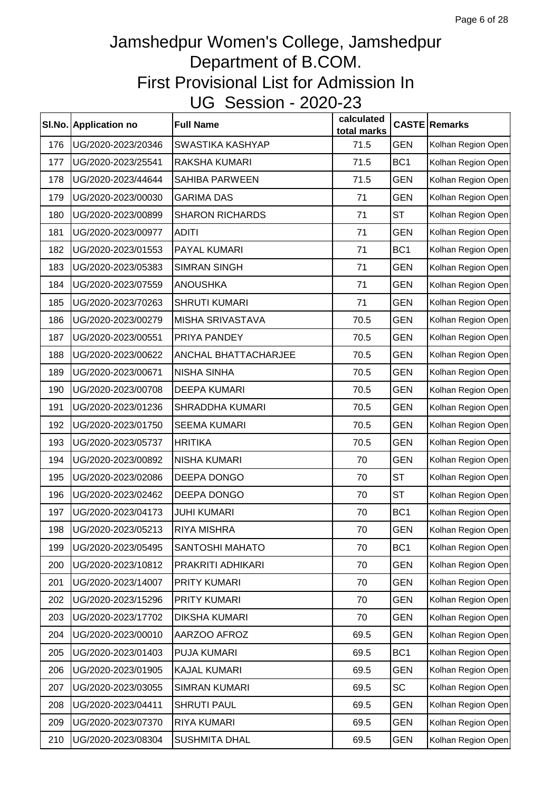|     | SI.No. Application no | <b>Full Name</b>            | calculated<br>total marks |                 | <b>CASTE Remarks</b> |
|-----|-----------------------|-----------------------------|---------------------------|-----------------|----------------------|
| 176 | UG/2020-2023/20346    | <b>SWASTIKA KASHYAP</b>     | 71.5                      | <b>GEN</b>      | Kolhan Region Open   |
| 177 | UG/2020-2023/25541    | RAKSHA KUMARI               | 71.5                      | BC <sub>1</sub> | Kolhan Region Open   |
| 178 | UG/2020-2023/44644    | <b>SAHIBA PARWEEN</b>       | 71.5                      | <b>GEN</b>      | Kolhan Region Open   |
| 179 | UG/2020-2023/00030    | <b>GARIMA DAS</b>           | 71                        | <b>GEN</b>      | Kolhan Region Open   |
| 180 | UG/2020-2023/00899    | <b>SHARON RICHARDS</b>      | 71                        | <b>ST</b>       | Kolhan Region Open   |
| 181 | UG/2020-2023/00977    | <b>ADITI</b>                | 71                        | <b>GEN</b>      | Kolhan Region Open   |
| 182 | UG/2020-2023/01553    | PAYAL KUMARI                | 71                        | BC <sub>1</sub> | Kolhan Region Open   |
| 183 | UG/2020-2023/05383    | <b>SIMRAN SINGH</b>         | 71                        | <b>GEN</b>      | Kolhan Region Open   |
| 184 | UG/2020-2023/07559    | <b>ANOUSHKA</b>             | 71                        | <b>GEN</b>      | Kolhan Region Open   |
| 185 | UG/2020-2023/70263    | <b>SHRUTI KUMARI</b>        | 71                        | <b>GEN</b>      | Kolhan Region Open   |
| 186 | UG/2020-2023/00279    | <b>MISHA SRIVASTAVA</b>     | 70.5                      | <b>GEN</b>      | Kolhan Region Open   |
| 187 | UG/2020-2023/00551    | PRIYA PANDEY                | 70.5                      | <b>GEN</b>      | Kolhan Region Open   |
| 188 | UG/2020-2023/00622    | <b>ANCHAL BHATTACHARJEE</b> | 70.5                      | <b>GEN</b>      | Kolhan Region Open   |
| 189 | UG/2020-2023/00671    | <b>NISHA SINHA</b>          | 70.5                      | <b>GEN</b>      | Kolhan Region Open   |
| 190 | UG/2020-2023/00708    | <b>DEEPA KUMARI</b>         | 70.5                      | <b>GEN</b>      | Kolhan Region Open   |
| 191 | UG/2020-2023/01236    | <b>SHRADDHA KUMARI</b>      | 70.5                      | <b>GEN</b>      | Kolhan Region Open   |
| 192 | UG/2020-2023/01750    | <b>SEEMA KUMARI</b>         | 70.5                      | <b>GEN</b>      | Kolhan Region Open   |
| 193 | UG/2020-2023/05737    | <b>HRITIKA</b>              | 70.5                      | <b>GEN</b>      | Kolhan Region Open   |
| 194 | UG/2020-2023/00892    | <b>NISHA KUMARI</b>         | 70                        | <b>GEN</b>      | Kolhan Region Open   |
| 195 | UG/2020-2023/02086    | DEEPA DONGO                 | 70                        | <b>ST</b>       | Kolhan Region Open   |
| 196 | UG/2020-2023/02462    | DEEPA DONGO                 | 70                        | <b>ST</b>       | Kolhan Region Open   |
| 197 | UG/2020-2023/04173    | <b>JUHI KUMARI</b>          | 70                        | BC <sub>1</sub> | Kolhan Region Open   |
| 198 | UG/2020-2023/05213    | <b>RIYA MISHRA</b>          | 70                        | <b>GEN</b>      | Kolhan Region Open   |
| 199 | UG/2020-2023/05495    | SANTOSHI MAHATO             | 70                        | BC <sub>1</sub> | Kolhan Region Open   |
| 200 | UG/2020-2023/10812    | PRAKRITI ADHIKARI           | 70                        | <b>GEN</b>      | Kolhan Region Open   |
| 201 | UG/2020-2023/14007    | PRITY KUMARI                | 70                        | <b>GEN</b>      | Kolhan Region Open   |
| 202 | UG/2020-2023/15296    | PRITY KUMARI                | 70                        | <b>GEN</b>      | Kolhan Region Open   |
| 203 | UG/2020-2023/17702    | <b>DIKSHA KUMARI</b>        | 70                        | <b>GEN</b>      | Kolhan Region Open   |
| 204 | UG/2020-2023/00010    | AARZOO AFROZ                | 69.5                      | <b>GEN</b>      | Kolhan Region Open   |
| 205 | UG/2020-2023/01403    | PUJA KUMARI                 | 69.5                      | BC <sub>1</sub> | Kolhan Region Open   |
| 206 | UG/2020-2023/01905    | <b>KAJAL KUMARI</b>         | 69.5                      | <b>GEN</b>      | Kolhan Region Open   |
| 207 | UG/2020-2023/03055    | <b>SIMRAN KUMARI</b>        | 69.5                      | <b>SC</b>       | Kolhan Region Open   |
| 208 | UG/2020-2023/04411    | <b>SHRUTI PAUL</b>          | 69.5                      | <b>GEN</b>      | Kolhan Region Open   |
| 209 | UG/2020-2023/07370    | RIYA KUMARI                 | 69.5                      | <b>GEN</b>      | Kolhan Region Open   |
| 210 | UG/2020-2023/08304    | <b>SUSHMITA DHAL</b>        | 69.5                      | <b>GEN</b>      | Kolhan Region Open   |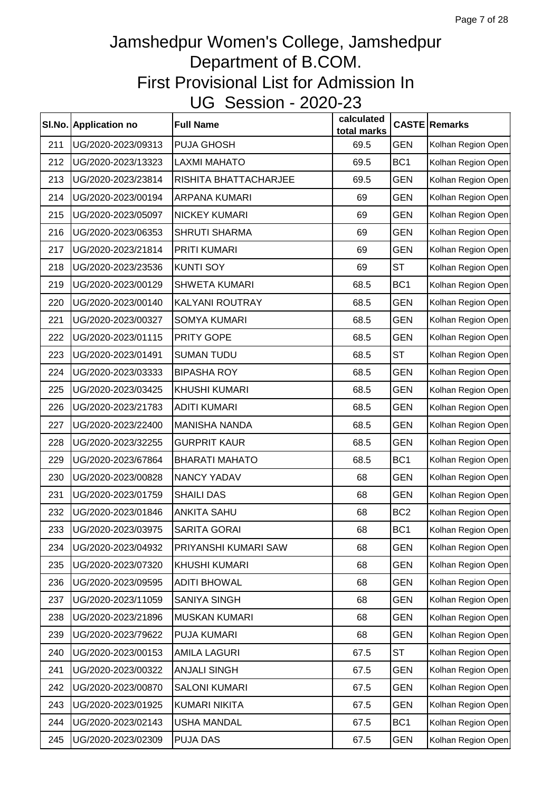|     | SI.No. Application no | <b>Full Name</b>      | calculated<br>total marks |                 | <b>CASTE Remarks</b> |
|-----|-----------------------|-----------------------|---------------------------|-----------------|----------------------|
| 211 | UG/2020-2023/09313    | PUJA GHOSH            | 69.5                      | <b>GEN</b>      | Kolhan Region Open   |
| 212 | UG/2020-2023/13323    | <b>LAXMI MAHATO</b>   | 69.5                      | BC <sub>1</sub> | Kolhan Region Open   |
| 213 | UG/2020-2023/23814    | RISHITA BHATTACHARJEE | 69.5                      | <b>GEN</b>      | Kolhan Region Open   |
| 214 | UG/2020-2023/00194    | ARPANA KUMARI         | 69                        | <b>GEN</b>      | Kolhan Region Open   |
| 215 | UG/2020-2023/05097    | <b>NICKEY KUMARI</b>  | 69                        | <b>GEN</b>      | Kolhan Region Open   |
| 216 | UG/2020-2023/06353    | <b>SHRUTI SHARMA</b>  | 69                        | <b>GEN</b>      | Kolhan Region Open   |
| 217 | UG/2020-2023/21814    | PRITI KUMARI          | 69                        | <b>GEN</b>      | Kolhan Region Open   |
| 218 | UG/2020-2023/23536    | <b>KUNTI SOY</b>      | 69                        | <b>ST</b>       | Kolhan Region Open   |
| 219 | UG/2020-2023/00129    | <b>SHWETA KUMARI</b>  | 68.5                      | BC <sub>1</sub> | Kolhan Region Open   |
| 220 | UG/2020-2023/00140    | KALYANI ROUTRAY       | 68.5                      | <b>GEN</b>      | Kolhan Region Open   |
| 221 | UG/2020-2023/00327    | <b>SOMYA KUMARI</b>   | 68.5                      | <b>GEN</b>      | Kolhan Region Open   |
| 222 | UG/2020-2023/01115    | PRITY GOPE            | 68.5                      | <b>GEN</b>      | Kolhan Region Open   |
| 223 | UG/2020-2023/01491    | <b>SUMAN TUDU</b>     | 68.5                      | <b>ST</b>       | Kolhan Region Open   |
| 224 | UG/2020-2023/03333    | <b>BIPASHA ROY</b>    | 68.5                      | <b>GEN</b>      | Kolhan Region Open   |
| 225 | UG/2020-2023/03425    | <b>KHUSHI KUMARI</b>  | 68.5                      | <b>GEN</b>      | Kolhan Region Open   |
| 226 | UG/2020-2023/21783    | <b>ADITI KUMARI</b>   | 68.5                      | <b>GEN</b>      | Kolhan Region Open   |
| 227 | UG/2020-2023/22400    | <b>MANISHA NANDA</b>  | 68.5                      | <b>GEN</b>      | Kolhan Region Open   |
| 228 | UG/2020-2023/32255    | <b>GURPRIT KAUR</b>   | 68.5                      | <b>GEN</b>      | Kolhan Region Open   |
| 229 | UG/2020-2023/67864    | <b>BHARATI MAHATO</b> | 68.5                      | BC <sub>1</sub> | Kolhan Region Open   |
| 230 | UG/2020-2023/00828    | <b>NANCY YADAV</b>    | 68                        | <b>GEN</b>      | Kolhan Region Open   |
| 231 | UG/2020-2023/01759    | <b>SHAILI DAS</b>     | 68                        | <b>GEN</b>      | Kolhan Region Open   |
| 232 | UG/2020-2023/01846    | <b>ANKITA SAHU</b>    | 68                        | BC <sub>2</sub> | Kolhan Region Open   |
| 233 | UG/2020-2023/03975    | SARITA GORAI          | 68                        | BC <sub>1</sub> | Kolhan Region Open   |
| 234 | UG/2020-2023/04932    | PRIYANSHI KUMARI SAW  | 68                        | <b>GEN</b>      | Kolhan Region Open   |
| 235 | UG/2020-2023/07320    | <b>KHUSHI KUMARI</b>  | 68                        | <b>GEN</b>      | Kolhan Region Open   |
| 236 | UG/2020-2023/09595    | <b>ADITI BHOWAL</b>   | 68                        | <b>GEN</b>      | Kolhan Region Open   |
| 237 | UG/2020-2023/11059    | <b>SANIYA SINGH</b>   | 68                        | <b>GEN</b>      | Kolhan Region Open   |
| 238 | UG/2020-2023/21896    | MUSKAN KUMARI         | 68                        | <b>GEN</b>      | Kolhan Region Open   |
| 239 | UG/2020-2023/79622    | PUJA KUMARI           | 68                        | <b>GEN</b>      | Kolhan Region Open   |
| 240 | UG/2020-2023/00153    | <b>AMILA LAGURI</b>   | 67.5                      | <b>ST</b>       | Kolhan Region Open   |
| 241 | UG/2020-2023/00322    | <b>ANJALI SINGH</b>   | 67.5                      | <b>GEN</b>      | Kolhan Region Open   |
| 242 | UG/2020-2023/00870    | <b>SALONI KUMARI</b>  | 67.5                      | <b>GEN</b>      | Kolhan Region Open   |
| 243 | UG/2020-2023/01925    | <b>KUMARI NIKITA</b>  | 67.5                      | <b>GEN</b>      | Kolhan Region Open   |
| 244 | UG/2020-2023/02143    | <b>USHA MANDAL</b>    | 67.5                      | BC <sub>1</sub> | Kolhan Region Open   |
| 245 | UG/2020-2023/02309    | PUJA DAS              | 67.5                      | <b>GEN</b>      | Kolhan Region Open   |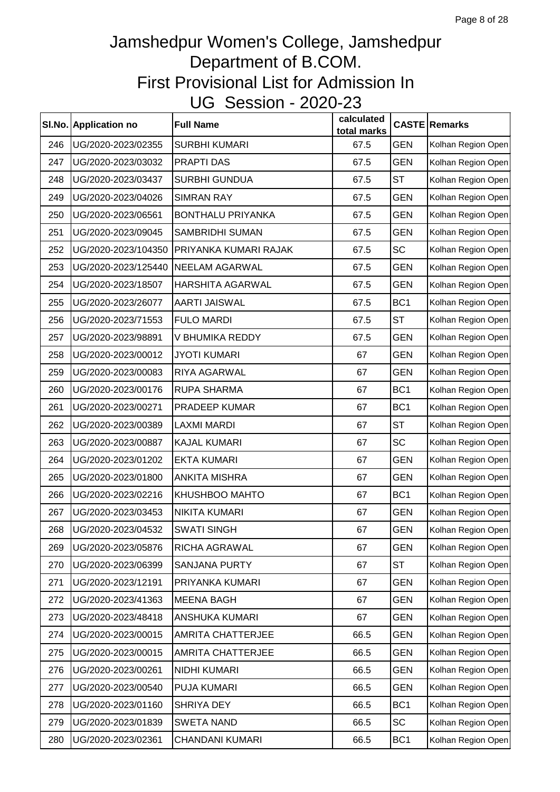|     | SI.No. Application no | <b>Full Name</b>         | calculated<br>total marks |                 | <b>CASTE Remarks</b> |
|-----|-----------------------|--------------------------|---------------------------|-----------------|----------------------|
| 246 | UG/2020-2023/02355    | <b>SURBHI KUMARI</b>     | 67.5                      | <b>GEN</b>      | Kolhan Region Open   |
| 247 | UG/2020-2023/03032    | PRAPTI DAS               | 67.5                      | <b>GEN</b>      | Kolhan Region Open   |
| 248 | UG/2020-2023/03437    | <b>SURBHI GUNDUA</b>     | 67.5                      | <b>ST</b>       | Kolhan Region Open   |
| 249 | UG/2020-2023/04026    | <b>SIMRAN RAY</b>        | 67.5                      | <b>GEN</b>      | Kolhan Region Open   |
| 250 | UG/2020-2023/06561    | <b>BONTHALU PRIYANKA</b> | 67.5                      | <b>GEN</b>      | Kolhan Region Open   |
| 251 | UG/2020-2023/09045    | <b>SAMBRIDHI SUMAN</b>   | 67.5                      | <b>GEN</b>      | Kolhan Region Open   |
| 252 | UG/2020-2023/104350   | PRIYANKA KUMARI RAJAK    | 67.5                      | <b>SC</b>       | Kolhan Region Open   |
| 253 | UG/2020-2023/125440   | NEELAM AGARWAL           | 67.5                      | <b>GEN</b>      | Kolhan Region Open   |
| 254 | UG/2020-2023/18507    | <b>HARSHITA AGARWAL</b>  | 67.5                      | <b>GEN</b>      | Kolhan Region Open   |
| 255 | UG/2020-2023/26077    | <b>AARTI JAISWAL</b>     | 67.5                      | BC <sub>1</sub> | Kolhan Region Open   |
| 256 | UG/2020-2023/71553    | <b>FULO MARDI</b>        | 67.5                      | <b>ST</b>       | Kolhan Region Open   |
| 257 | UG/2020-2023/98891    | V BHUMIKA REDDY          | 67.5                      | <b>GEN</b>      | Kolhan Region Open   |
| 258 | UG/2020-2023/00012    | <b>JYOTI KUMARI</b>      | 67                        | <b>GEN</b>      | Kolhan Region Open   |
| 259 | UG/2020-2023/00083    | RIYA AGARWAL             | 67                        | <b>GEN</b>      | Kolhan Region Open   |
| 260 | UG/2020-2023/00176    | RUPA SHARMA              | 67                        | BC <sub>1</sub> | Kolhan Region Open   |
| 261 | UG/2020-2023/00271    | PRADEEP KUMAR            | 67                        | BC <sub>1</sub> | Kolhan Region Open   |
| 262 | UG/2020-2023/00389    | <b>LAXMI MARDI</b>       | 67                        | <b>ST</b>       | Kolhan Region Open   |
| 263 | UG/2020-2023/00887    | <b>KAJAL KUMARI</b>      | 67                        | <b>SC</b>       | Kolhan Region Open   |
| 264 | UG/2020-2023/01202    | <b>EKTA KUMARI</b>       | 67                        | <b>GEN</b>      | Kolhan Region Open   |
| 265 | UG/2020-2023/01800    | <b>ANKITA MISHRA</b>     | 67                        | <b>GEN</b>      | Kolhan Region Open   |
| 266 | UG/2020-2023/02216    | KHUSHBOO MAHTO           | 67                        | BC <sub>1</sub> | Kolhan Region Open   |
| 267 | UG/2020-2023/03453    | <b>NIKITA KUMARI</b>     | 67                        | <b>GEN</b>      | Kolhan Region Open   |
| 268 | UG/2020-2023/04532    | SWATI SINGH              | 67                        | <b>GEN</b>      | Kolhan Region Open   |
| 269 | UG/2020-2023/05876    | RICHA AGRAWAL            | 67                        | <b>GEN</b>      | Kolhan Region Open   |
| 270 | UG/2020-2023/06399    | <b>SANJANA PURTY</b>     | 67                        | <b>ST</b>       | Kolhan Region Open   |
| 271 | UG/2020-2023/12191    | PRIYANKA KUMARI          | 67                        | <b>GEN</b>      | Kolhan Region Open   |
| 272 | UG/2020-2023/41363    | <b>MEENA BAGH</b>        | 67                        | <b>GEN</b>      | Kolhan Region Open   |
| 273 | UG/2020-2023/48418    | ANSHUKA KUMARI           | 67                        | <b>GEN</b>      | Kolhan Region Open   |
| 274 | UG/2020-2023/00015    | <b>AMRITA CHATTERJEE</b> | 66.5                      | <b>GEN</b>      | Kolhan Region Open   |
| 275 | UG/2020-2023/00015    | <b>AMRITA CHATTERJEE</b> | 66.5                      | <b>GEN</b>      | Kolhan Region Open   |
| 276 | UG/2020-2023/00261    | NIDHI KUMARI             | 66.5                      | <b>GEN</b>      | Kolhan Region Open   |
| 277 | UG/2020-2023/00540    | PUJA KUMARI              | 66.5                      | <b>GEN</b>      | Kolhan Region Open   |
| 278 | UG/2020-2023/01160    | SHRIYA DEY               | 66.5                      | BC <sub>1</sub> | Kolhan Region Open   |
| 279 | UG/2020-2023/01839    | <b>SWETA NAND</b>        | 66.5                      | <b>SC</b>       | Kolhan Region Open   |
| 280 | UG/2020-2023/02361    | CHANDANI KUMARI          | 66.5                      | BC <sub>1</sub> | Kolhan Region Open   |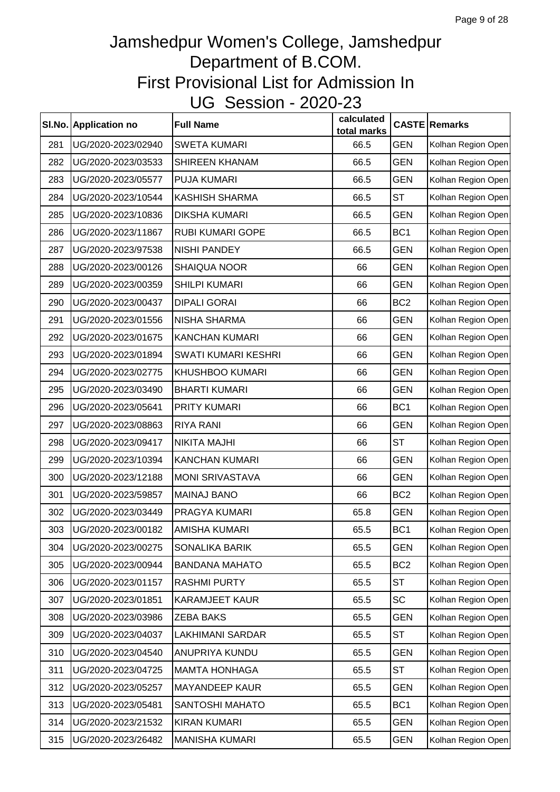|     | SI.No. Application no | <b>Full Name</b>           | calculated<br>total marks |                 | <b>CASTE Remarks</b> |
|-----|-----------------------|----------------------------|---------------------------|-----------------|----------------------|
| 281 | UG/2020-2023/02940    | <b>SWETA KUMARI</b>        | 66.5                      | <b>GEN</b>      | Kolhan Region Open   |
| 282 | UG/2020-2023/03533    | <b>SHIREEN KHANAM</b>      | 66.5                      | <b>GEN</b>      | Kolhan Region Open   |
| 283 | UG/2020-2023/05577    | PUJA KUMARI                | 66.5                      | <b>GEN</b>      | Kolhan Region Open   |
| 284 | UG/2020-2023/10544    | <b>KASHISH SHARMA</b>      | 66.5                      | <b>ST</b>       | Kolhan Region Open   |
| 285 | UG/2020-2023/10836    | <b>DIKSHA KUMARI</b>       | 66.5                      | <b>GEN</b>      | Kolhan Region Open   |
| 286 | UG/2020-2023/11867    | <b>RUBI KUMARI GOPE</b>    | 66.5                      | BC <sub>1</sub> | Kolhan Region Open   |
| 287 | UG/2020-2023/97538    | <b>NISHI PANDEY</b>        | 66.5                      | <b>GEN</b>      | Kolhan Region Open   |
| 288 | UG/2020-2023/00126    | <b>SHAIQUA NOOR</b>        | 66                        | <b>GEN</b>      | Kolhan Region Open   |
| 289 | UG/2020-2023/00359    | <b>SHILPI KUMARI</b>       | 66                        | <b>GEN</b>      | Kolhan Region Open   |
| 290 | UG/2020-2023/00437    | <b>DIPALI GORAI</b>        | 66                        | BC <sub>2</sub> | Kolhan Region Open   |
| 291 | UG/2020-2023/01556    | NISHA SHARMA               | 66                        | <b>GEN</b>      | Kolhan Region Open   |
| 292 | UG/2020-2023/01675    | <b>KANCHAN KUMARI</b>      | 66                        | <b>GEN</b>      | Kolhan Region Open   |
| 293 | UG/2020-2023/01894    | <b>SWATI KUMARI KESHRI</b> | 66                        | <b>GEN</b>      | Kolhan Region Open   |
| 294 | UG/2020-2023/02775    | KHUSHBOO KUMARI            | 66                        | <b>GEN</b>      | Kolhan Region Open   |
| 295 | UG/2020-2023/03490    | <b>BHARTI KUMARI</b>       | 66                        | <b>GEN</b>      | Kolhan Region Open   |
| 296 | UG/2020-2023/05641    | PRITY KUMARI               | 66                        | BC <sub>1</sub> | Kolhan Region Open   |
| 297 | UG/2020-2023/08863    | <b>RIYA RANI</b>           | 66                        | <b>GEN</b>      | Kolhan Region Open   |
| 298 | UG/2020-2023/09417    | <b>NIKITA MAJHI</b>        | 66                        | <b>ST</b>       | Kolhan Region Open   |
| 299 | UG/2020-2023/10394    | <b>KANCHAN KUMARI</b>      | 66                        | <b>GEN</b>      | Kolhan Region Open   |
| 300 | UG/2020-2023/12188    | <b>MONI SRIVASTAVA</b>     | 66                        | <b>GEN</b>      | Kolhan Region Open   |
| 301 | UG/2020-2023/59857    | <b>MAINAJ BANO</b>         | 66                        | BC <sub>2</sub> | Kolhan Region Open   |
| 302 | UG/2020-2023/03449    | PRAGYA KUMARI              | 65.8                      | <b>GEN</b>      | Kolhan Region Open   |
| 303 | UG/2020-2023/00182    | AMISHA KUMARI              | 65.5                      | BC <sub>1</sub> | Kolhan Region Open   |
| 304 | UG/2020-2023/00275    | SONALIKA BARIK             | 65.5                      | <b>GEN</b>      | Kolhan Region Open   |
| 305 | UG/2020-2023/00944    | <b>BANDANA MAHATO</b>      | 65.5                      | BC <sub>2</sub> | Kolhan Region Open   |
| 306 | UG/2020-2023/01157    | <b>RASHMI PURTY</b>        | 65.5                      | <b>ST</b>       | Kolhan Region Open   |
| 307 | UG/2020-2023/01851    | <b>KARAMJEET KAUR</b>      | 65.5                      | SC              | Kolhan Region Open   |
| 308 | UG/2020-2023/03986    | <b>ZEBA BAKS</b>           | 65.5                      | <b>GEN</b>      | Kolhan Region Open   |
| 309 | UG/2020-2023/04037    | <b>LAKHIMANI SARDAR</b>    | 65.5                      | <b>ST</b>       | Kolhan Region Open   |
| 310 | UG/2020-2023/04540    | ANUPRIYA KUNDU             | 65.5                      | <b>GEN</b>      | Kolhan Region Open   |
| 311 | UG/2020-2023/04725    | <b>MAMTA HONHAGA</b>       | 65.5                      | <b>ST</b>       | Kolhan Region Open   |
| 312 | UG/2020-2023/05257    | <b>MAYANDEEP KAUR</b>      | 65.5                      | <b>GEN</b>      | Kolhan Region Open   |
| 313 | UG/2020-2023/05481    | SANTOSHI MAHATO            | 65.5                      | BC <sub>1</sub> | Kolhan Region Open   |
| 314 | UG/2020-2023/21532    | <b>KIRAN KUMARI</b>        | 65.5                      | <b>GEN</b>      | Kolhan Region Open   |
| 315 | UG/2020-2023/26482    | <b>MANISHA KUMARI</b>      | 65.5                      | <b>GEN</b>      | Kolhan Region Open   |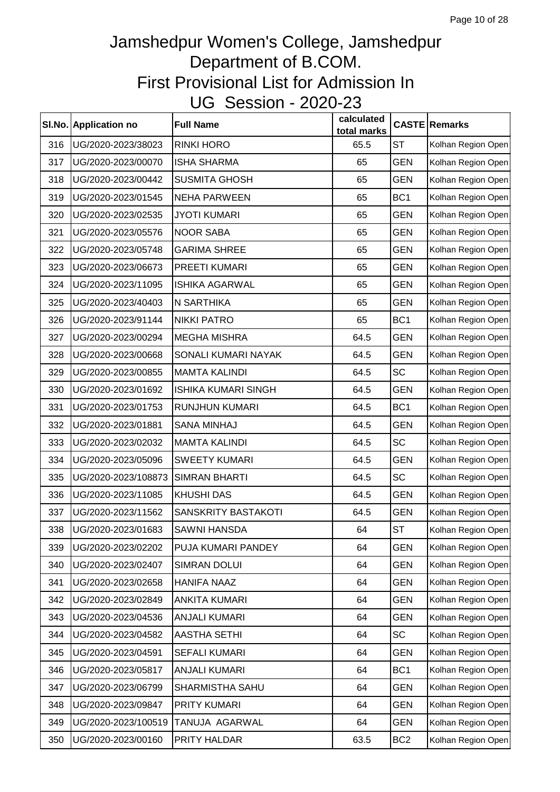|     | SI.No. Application no | <b>Full Name</b>           | calculated<br>total marks |                 | <b>CASTE Remarks</b> |
|-----|-----------------------|----------------------------|---------------------------|-----------------|----------------------|
| 316 | UG/2020-2023/38023    | <b>RINKI HORO</b>          | 65.5                      | <b>ST</b>       | Kolhan Region Open   |
| 317 | UG/2020-2023/00070    | <b>ISHA SHARMA</b>         | 65                        | <b>GEN</b>      | Kolhan Region Open   |
| 318 | UG/2020-2023/00442    | <b>SUSMITA GHOSH</b>       | 65                        | <b>GEN</b>      | Kolhan Region Open   |
| 319 | UG/2020-2023/01545    | <b>NEHA PARWEEN</b>        | 65                        | BC <sub>1</sub> | Kolhan Region Open   |
| 320 | UG/2020-2023/02535    | <b>JYOTI KUMARI</b>        | 65                        | <b>GEN</b>      | Kolhan Region Open   |
| 321 | UG/2020-2023/05576    | <b>NOOR SABA</b>           | 65                        | <b>GEN</b>      | Kolhan Region Open   |
| 322 | UG/2020-2023/05748    | <b>GARIMA SHREE</b>        | 65                        | <b>GEN</b>      | Kolhan Region Open   |
| 323 | UG/2020-2023/06673    | PREETI KUMARI              | 65                        | <b>GEN</b>      | Kolhan Region Open   |
| 324 | UG/2020-2023/11095    | <b>ISHIKA AGARWAL</b>      | 65                        | <b>GEN</b>      | Kolhan Region Open   |
| 325 | UG/2020-2023/40403    | N SARTHIKA                 | 65                        | <b>GEN</b>      | Kolhan Region Open   |
| 326 | UG/2020-2023/91144    | <b>NIKKI PATRO</b>         | 65                        | BC <sub>1</sub> | Kolhan Region Open   |
| 327 | UG/2020-2023/00294    | <b>MEGHA MISHRA</b>        | 64.5                      | <b>GEN</b>      | Kolhan Region Open   |
| 328 | UG/2020-2023/00668    | SONALI KUMARI NAYAK        | 64.5                      | <b>GEN</b>      | Kolhan Region Open   |
| 329 | UG/2020-2023/00855    | <b>MAMTA KALINDI</b>       | 64.5                      | <b>SC</b>       | Kolhan Region Open   |
| 330 | UG/2020-2023/01692    | <b>ISHIKA KUMARI SINGH</b> | 64.5                      | <b>GEN</b>      | Kolhan Region Open   |
| 331 | UG/2020-2023/01753    | RUNJHUN KUMARI             | 64.5                      | BC <sub>1</sub> | Kolhan Region Open   |
| 332 | UG/2020-2023/01881    | <b>SANA MINHAJ</b>         | 64.5                      | <b>GEN</b>      | Kolhan Region Open   |
| 333 | UG/2020-2023/02032    | <b>MAMTA KALINDI</b>       | 64.5                      | <b>SC</b>       | Kolhan Region Open   |
| 334 | UG/2020-2023/05096    | <b>SWEETY KUMARI</b>       | 64.5                      | <b>GEN</b>      | Kolhan Region Open   |
| 335 | UG/2020-2023/108873   | <b>SIMRAN BHARTI</b>       | 64.5                      | <b>SC</b>       | Kolhan Region Open   |
| 336 | UG/2020-2023/11085    | <b>KHUSHI DAS</b>          | 64.5                      | <b>GEN</b>      | Kolhan Region Open   |
| 337 | UG/2020-2023/11562    | SANSKRITY BASTAKOTI        | 64.5                      | <b>GEN</b>      | Kolhan Region Open   |
| 338 | UG/2020-2023/01683    | SAWNI HANSDA               | 64                        | <b>ST</b>       | Kolhan Region Open   |
| 339 | UG/2020-2023/02202    | PUJA KUMARI PANDEY         | 64                        | <b>GEN</b>      | Kolhan Region Open   |
| 340 | UG/2020-2023/02407    | <b>SIMRAN DOLUI</b>        | 64                        | <b>GEN</b>      | Kolhan Region Open   |
| 341 | UG/2020-2023/02658    | <b>HANIFA NAAZ</b>         | 64                        | <b>GEN</b>      | Kolhan Region Open   |
| 342 | UG/2020-2023/02849    | <b>ANKITA KUMARI</b>       | 64                        | <b>GEN</b>      | Kolhan Region Open   |
| 343 | UG/2020-2023/04536    | <b>ANJALI KUMARI</b>       | 64                        | <b>GEN</b>      | Kolhan Region Open   |
| 344 | UG/2020-2023/04582    | <b>AASTHA SETHI</b>        | 64                        | <b>SC</b>       | Kolhan Region Open   |
| 345 | UG/2020-2023/04591    | <b>SEFALI KUMARI</b>       | 64                        | <b>GEN</b>      | Kolhan Region Open   |
| 346 | UG/2020-2023/05817    | <b>ANJALI KUMARI</b>       | 64                        | BC <sub>1</sub> | Kolhan Region Open   |
| 347 | UG/2020-2023/06799    | SHARMISTHA SAHU            | 64                        | <b>GEN</b>      | Kolhan Region Open   |
| 348 | UG/2020-2023/09847    | PRITY KUMARI               | 64                        | <b>GEN</b>      | Kolhan Region Open   |
| 349 | UG/2020-2023/100519   | TANUJA AGARWAL             | 64                        | <b>GEN</b>      | Kolhan Region Open   |
| 350 | UG/2020-2023/00160    | PRITY HALDAR               | 63.5                      | BC <sub>2</sub> | Kolhan Region Open   |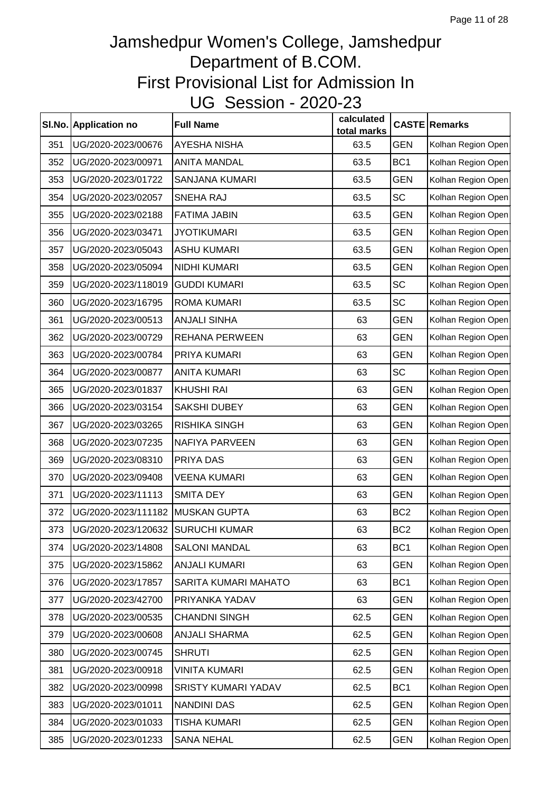|     | SI.No. Application no             | <b>Full Name</b>      | calculated<br>total marks |                 | <b>CASTE Remarks</b> |
|-----|-----------------------------------|-----------------------|---------------------------|-----------------|----------------------|
| 351 | UG/2020-2023/00676                | <b>AYESHA NISHA</b>   | 63.5                      | <b>GEN</b>      | Kolhan Region Open   |
| 352 | UG/2020-2023/00971                | <b>ANITA MANDAL</b>   | 63.5                      | BC <sub>1</sub> | Kolhan Region Open   |
| 353 | UG/2020-2023/01722                | <b>SANJANA KUMARI</b> | 63.5                      | <b>GEN</b>      | Kolhan Region Open   |
| 354 | UG/2020-2023/02057                | SNEHA RAJ             | 63.5                      | <b>SC</b>       | Kolhan Region Open   |
| 355 | UG/2020-2023/02188                | <b>FATIMA JABIN</b>   | 63.5                      | <b>GEN</b>      | Kolhan Region Open   |
| 356 | UG/2020-2023/03471                | <b>JYOTIKUMARI</b>    | 63.5                      | <b>GEN</b>      | Kolhan Region Open   |
| 357 | UG/2020-2023/05043                | <b>ASHU KUMARI</b>    | 63.5                      | <b>GEN</b>      | Kolhan Region Open   |
| 358 | UG/2020-2023/05094                | NIDHI KUMARI          | 63.5                      | <b>GEN</b>      | Kolhan Region Open   |
| 359 | UG/2020-2023/118019               | <b>GUDDI KUMARI</b>   | 63.5                      | <b>SC</b>       | Kolhan Region Open   |
| 360 | UG/2020-2023/16795                | <b>ROMA KUMARI</b>    | 63.5                      | <b>SC</b>       | Kolhan Region Open   |
| 361 | UG/2020-2023/00513                | <b>ANJALI SINHA</b>   | 63                        | <b>GEN</b>      | Kolhan Region Open   |
| 362 | UG/2020-2023/00729                | <b>REHANA PERWEEN</b> | 63                        | <b>GEN</b>      | Kolhan Region Open   |
| 363 | UG/2020-2023/00784                | PRIYA KUMARI          | 63                        | <b>GEN</b>      | Kolhan Region Open   |
| 364 | UG/2020-2023/00877                | <b>ANITA KUMARI</b>   | 63                        | <b>SC</b>       | Kolhan Region Open   |
| 365 | UG/2020-2023/01837                | <b>KHUSHI RAI</b>     | 63                        | <b>GEN</b>      | Kolhan Region Open   |
| 366 | UG/2020-2023/03154                | SAKSHI DUBEY          | 63                        | <b>GEN</b>      | Kolhan Region Open   |
| 367 | UG/2020-2023/03265                | <b>RISHIKA SINGH</b>  | 63                        | <b>GEN</b>      | Kolhan Region Open   |
| 368 | UG/2020-2023/07235                | NAFIYA PARVEEN        | 63                        | <b>GEN</b>      | Kolhan Region Open   |
| 369 | UG/2020-2023/08310                | PRIYA DAS             | 63                        | <b>GEN</b>      | Kolhan Region Open   |
| 370 | UG/2020-2023/09408                | <b>VEENA KUMARI</b>   | 63                        | <b>GEN</b>      | Kolhan Region Open   |
| 371 | UG/2020-2023/11113                | <b>SMITA DEY</b>      | 63                        | <b>GEN</b>      | Kolhan Region Open   |
| 372 | UG/2020-2023/111182               | <b>MUSKAN GUPTA</b>   | 63                        | BC <sub>2</sub> | Kolhan Region Open   |
| 373 | UG/2020-2023/120632 SURUCHI KUMAR |                       | 63                        | BC <sub>2</sub> | Kolhan Region Open   |
| 374 | UG/2020-2023/14808                | <b>SALONI MANDAL</b>  | 63                        | BC <sub>1</sub> | Kolhan Region Open   |
| 375 | UG/2020-2023/15862                | <b>ANJALI KUMARI</b>  | 63                        | <b>GEN</b>      | Kolhan Region Open   |
| 376 | UG/2020-2023/17857                | SARITA KUMARI MAHATO  | 63                        | BC <sub>1</sub> | Kolhan Region Open   |
| 377 | UG/2020-2023/42700                | PRIYANKA YADAV        | 63                        | <b>GEN</b>      | Kolhan Region Open   |
| 378 | UG/2020-2023/00535                | <b>CHANDNI SINGH</b>  | 62.5                      | <b>GEN</b>      | Kolhan Region Open   |
| 379 | UG/2020-2023/00608                | <b>ANJALI SHARMA</b>  | 62.5                      | <b>GEN</b>      | Kolhan Region Open   |
| 380 | UG/2020-2023/00745                | <b>SHRUTI</b>         | 62.5                      | <b>GEN</b>      | Kolhan Region Open   |
| 381 | UG/2020-2023/00918                | <b>VINITA KUMARI</b>  | 62.5                      | <b>GEN</b>      | Kolhan Region Open   |
| 382 | UG/2020-2023/00998                | SRISTY KUMARI YADAV   | 62.5                      | BC <sub>1</sub> | Kolhan Region Open   |
| 383 | UG/2020-2023/01011                | <b>NANDINI DAS</b>    | 62.5                      | <b>GEN</b>      | Kolhan Region Open   |
| 384 | UG/2020-2023/01033                | TISHA KUMARI          | 62.5                      | <b>GEN</b>      | Kolhan Region Open   |
| 385 | UG/2020-2023/01233                | <b>SANA NEHAL</b>     | 62.5                      | <b>GEN</b>      | Kolhan Region Open   |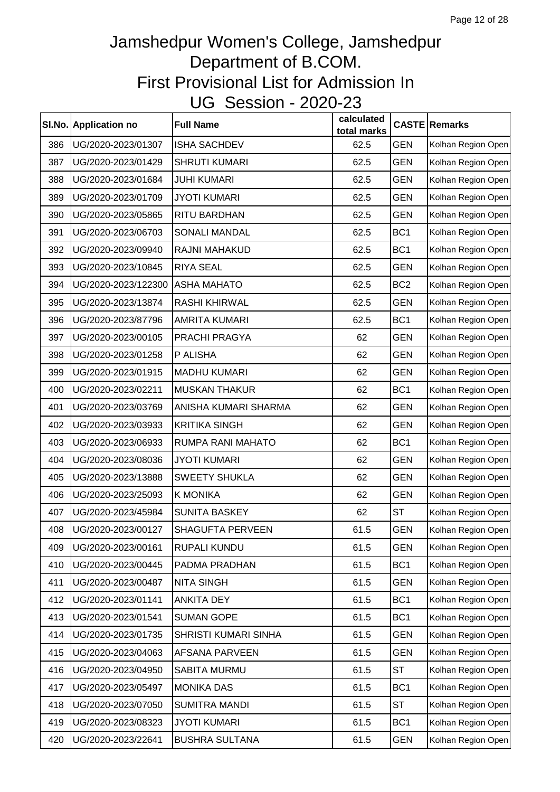|     | SI.No. Application no | <b>Full Name</b>      | calculated<br>total marks |                 | <b>CASTE Remarks</b> |
|-----|-----------------------|-----------------------|---------------------------|-----------------|----------------------|
| 386 | UG/2020-2023/01307    | <b>ISHA SACHDEV</b>   | 62.5                      | <b>GEN</b>      | Kolhan Region Open   |
| 387 | UG/2020-2023/01429    | <b>SHRUTI KUMARI</b>  | 62.5                      | <b>GEN</b>      | Kolhan Region Open   |
| 388 | UG/2020-2023/01684    | <b>JUHI KUMARI</b>    | 62.5                      | <b>GEN</b>      | Kolhan Region Open   |
| 389 | UG/2020-2023/01709    | <b>JYOTI KUMARI</b>   | 62.5                      | <b>GEN</b>      | Kolhan Region Open   |
| 390 | UG/2020-2023/05865    | RITU BARDHAN          | 62.5                      | <b>GEN</b>      | Kolhan Region Open   |
| 391 | UG/2020-2023/06703    | <b>SONALI MANDAL</b>  | 62.5                      | BC <sub>1</sub> | Kolhan Region Open   |
| 392 | UG/2020-2023/09940    | RAJNI MAHAKUD         | 62.5                      | BC <sub>1</sub> | Kolhan Region Open   |
| 393 | UG/2020-2023/10845    | <b>RIYA SEAL</b>      | 62.5                      | <b>GEN</b>      | Kolhan Region Open   |
| 394 | UG/2020-2023/122300   | <b>ASHA MAHATO</b>    | 62.5                      | BC <sub>2</sub> | Kolhan Region Open   |
| 395 | UG/2020-2023/13874    | <b>RASHI KHIRWAL</b>  | 62.5                      | <b>GEN</b>      | Kolhan Region Open   |
| 396 | UG/2020-2023/87796    | AMRITA KUMARI         | 62.5                      | BC <sub>1</sub> | Kolhan Region Open   |
| 397 | UG/2020-2023/00105    | PRACHI PRAGYA         | 62                        | <b>GEN</b>      | Kolhan Region Open   |
| 398 | UG/2020-2023/01258    | P ALISHA              | 62                        | <b>GEN</b>      | Kolhan Region Open   |
| 399 | UG/2020-2023/01915    | <b>MADHU KUMARI</b>   | 62                        | <b>GEN</b>      | Kolhan Region Open   |
| 400 | UG/2020-2023/02211    | <b>MUSKAN THAKUR</b>  | 62                        | BC <sub>1</sub> | Kolhan Region Open   |
| 401 | UG/2020-2023/03769    | ANISHA KUMARI SHARMA  | 62                        | <b>GEN</b>      | Kolhan Region Open   |
| 402 | UG/2020-2023/03933    | <b>KRITIKA SINGH</b>  | 62                        | <b>GEN</b>      | Kolhan Region Open   |
| 403 | UG/2020-2023/06933    | RUMPA RANI MAHATO     | 62                        | BC <sub>1</sub> | Kolhan Region Open   |
| 404 | UG/2020-2023/08036    | <b>JYOTI KUMARI</b>   | 62                        | <b>GEN</b>      | Kolhan Region Open   |
| 405 | UG/2020-2023/13888    | <b>SWEETY SHUKLA</b>  | 62                        | <b>GEN</b>      | Kolhan Region Open   |
| 406 | UG/2020-2023/25093    | <b>K MONIKA</b>       | 62                        | <b>GEN</b>      | Kolhan Region Open   |
| 407 | UG/2020-2023/45984    | <b>SUNITA BASKEY</b>  | 62                        | <b>ST</b>       | Kolhan Region Open   |
| 408 | UG/2020-2023/00127    | SHAGUFTA PERVEEN      | 61.5                      | <b>GEN</b>      | Kolhan Region Open   |
| 409 | UG/2020-2023/00161    | RUPALI KUNDU          | 61.5                      | <b>GEN</b>      | Kolhan Region Open   |
| 410 | UG/2020-2023/00445    | PADMA PRADHAN         | 61.5                      | BC <sub>1</sub> | Kolhan Region Open   |
| 411 | UG/2020-2023/00487    | <b>NITA SINGH</b>     | 61.5                      | <b>GEN</b>      | Kolhan Region Open   |
| 412 | UG/2020-2023/01141    | <b>ANKITA DEY</b>     | 61.5                      | BC <sub>1</sub> | Kolhan Region Open   |
| 413 | UG/2020-2023/01541    | <b>SUMAN GOPE</b>     | 61.5                      | BC <sub>1</sub> | Kolhan Region Open   |
| 414 | UG/2020-2023/01735    | SHRISTI KUMARI SINHA  | 61.5                      | <b>GEN</b>      | Kolhan Region Open   |
| 415 | UG/2020-2023/04063    | AFSANA PARVEEN        | 61.5                      | <b>GEN</b>      | Kolhan Region Open   |
| 416 | UG/2020-2023/04950    | SABITA MURMU          | 61.5                      | <b>ST</b>       | Kolhan Region Open   |
| 417 | UG/2020-2023/05497    | <b>MONIKA DAS</b>     | 61.5                      | BC <sub>1</sub> | Kolhan Region Open   |
| 418 | UG/2020-2023/07050    | <b>SUMITRA MANDI</b>  | 61.5                      | <b>ST</b>       | Kolhan Region Open   |
| 419 | UG/2020-2023/08323    | <b>JYOTI KUMARI</b>   | 61.5                      | BC <sub>1</sub> | Kolhan Region Open   |
| 420 | UG/2020-2023/22641    | <b>BUSHRA SULTANA</b> | 61.5                      | <b>GEN</b>      | Kolhan Region Open   |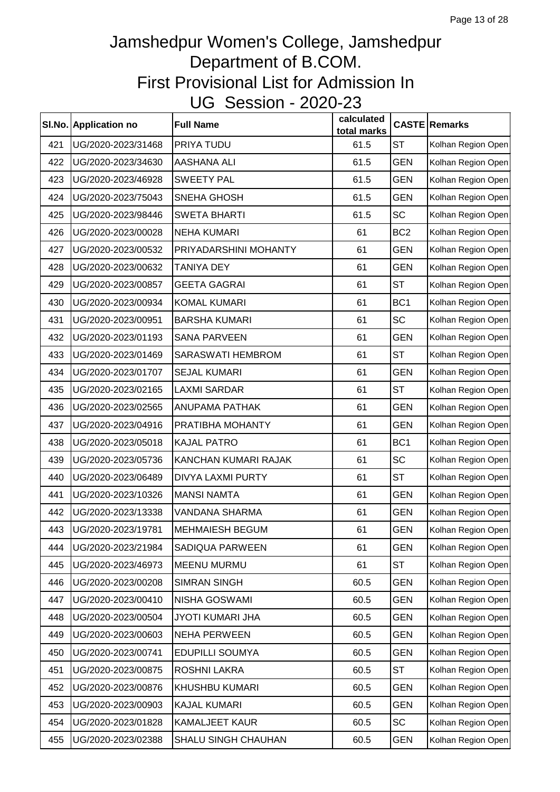|     | SI.No. Application no | <b>Full Name</b>        | calculated<br>total marks |                 | <b>CASTE Remarks</b> |
|-----|-----------------------|-------------------------|---------------------------|-----------------|----------------------|
| 421 | UG/2020-2023/31468    | PRIYA TUDU              | 61.5                      | <b>ST</b>       | Kolhan Region Open   |
| 422 | UG/2020-2023/34630    | AASHANA ALI             | 61.5                      | <b>GEN</b>      | Kolhan Region Open   |
| 423 | UG/2020-2023/46928    | <b>SWEETY PAL</b>       | 61.5                      | <b>GEN</b>      | Kolhan Region Open   |
| 424 | UG/2020-2023/75043    | SNEHA GHOSH             | 61.5                      | <b>GEN</b>      | Kolhan Region Open   |
| 425 | UG/2020-2023/98446    | <b>SWETA BHARTI</b>     | 61.5                      | <b>SC</b>       | Kolhan Region Open   |
| 426 | UG/2020-2023/00028    | <b>NEHA KUMARI</b>      | 61                        | BC <sub>2</sub> | Kolhan Region Open   |
| 427 | UG/2020-2023/00532    | PRIYADARSHINI MOHANTY   | 61                        | <b>GEN</b>      | Kolhan Region Open   |
| 428 | UG/2020-2023/00632    | <b>TANIYA DEY</b>       | 61                        | <b>GEN</b>      | Kolhan Region Open   |
| 429 | UG/2020-2023/00857    | <b>GEETA GAGRAI</b>     | 61                        | <b>ST</b>       | Kolhan Region Open   |
| 430 | UG/2020-2023/00934    | <b>KOMAL KUMARI</b>     | 61                        | BC <sub>1</sub> | Kolhan Region Open   |
| 431 | UG/2020-2023/00951    | <b>BARSHA KUMARI</b>    | 61                        | <b>SC</b>       | Kolhan Region Open   |
| 432 | UG/2020-2023/01193    | <b>SANA PARVEEN</b>     | 61                        | <b>GEN</b>      | Kolhan Region Open   |
| 433 | UG/2020-2023/01469    | SARASWATI HEMBROM       | 61                        | <b>ST</b>       | Kolhan Region Open   |
| 434 | UG/2020-2023/01707    | <b>SEJAL KUMARI</b>     | 61                        | <b>GEN</b>      | Kolhan Region Open   |
| 435 | UG/2020-2023/02165    | <b>LAXMI SARDAR</b>     | 61                        | <b>ST</b>       | Kolhan Region Open   |
| 436 | UG/2020-2023/02565    | <b>ANUPAMA PATHAK</b>   | 61                        | <b>GEN</b>      | Kolhan Region Open   |
| 437 | UG/2020-2023/04916    | PRATIBHA MOHANTY        | 61                        | <b>GEN</b>      | Kolhan Region Open   |
| 438 | UG/2020-2023/05018    | <b>KAJAL PATRO</b>      | 61                        | BC <sub>1</sub> | Kolhan Region Open   |
| 439 | UG/2020-2023/05736    | KANCHAN KUMARI RAJAK    | 61                        | <b>SC</b>       | Kolhan Region Open   |
| 440 | UG/2020-2023/06489    | DIVYA LAXMI PURTY       | 61                        | <b>ST</b>       | Kolhan Region Open   |
| 441 | UG/2020-2023/10326    | <b>MANSI NAMTA</b>      | 61                        | <b>GEN</b>      | Kolhan Region Open   |
| 442 | UG/2020-2023/13338    | VANDANA SHARMA          | 61                        | <b>GEN</b>      | Kolhan Region Open   |
| 443 | UG/2020-2023/19781    | <b>MEHMAIESH BEGUM</b>  | 61                        | <b>GEN</b>      | Kolhan Region Open   |
| 444 | UG/2020-2023/21984    | SADIQUA PARWEEN         | 61                        | <b>GEN</b>      | Kolhan Region Open   |
| 445 | UG/2020-2023/46973    | <b>MEENU MURMU</b>      | 61                        | <b>ST</b>       | Kolhan Region Open   |
| 446 | UG/2020-2023/00208    | <b>SIMRAN SINGH</b>     | 60.5                      | <b>GEN</b>      | Kolhan Region Open   |
| 447 | UG/2020-2023/00410    | NISHA GOSWAMI           | 60.5                      | <b>GEN</b>      | Kolhan Region Open   |
| 448 | UG/2020-2023/00504    | <b>JYOTI KUMARI JHA</b> | 60.5                      | <b>GEN</b>      | Kolhan Region Open   |
| 449 | UG/2020-2023/00603    | <b>NEHA PERWEEN</b>     | 60.5                      | <b>GEN</b>      | Kolhan Region Open   |
| 450 | UG/2020-2023/00741    | <b>EDUPILLI SOUMYA</b>  | 60.5                      | <b>GEN</b>      | Kolhan Region Open   |
| 451 | UG/2020-2023/00875    | ROSHNI LAKRA            | 60.5                      | ST              | Kolhan Region Open   |
| 452 | UG/2020-2023/00876    | KHUSHBU KUMARI          | 60.5                      | <b>GEN</b>      | Kolhan Region Open   |
| 453 | UG/2020-2023/00903    | <b>KAJAL KUMARI</b>     | 60.5                      | <b>GEN</b>      | Kolhan Region Open   |
| 454 | UG/2020-2023/01828    | KAMALJEET KAUR          | 60.5                      | <b>SC</b>       | Kolhan Region Open   |
| 455 | UG/2020-2023/02388    | SHALU SINGH CHAUHAN     | 60.5                      | <b>GEN</b>      | Kolhan Region Open   |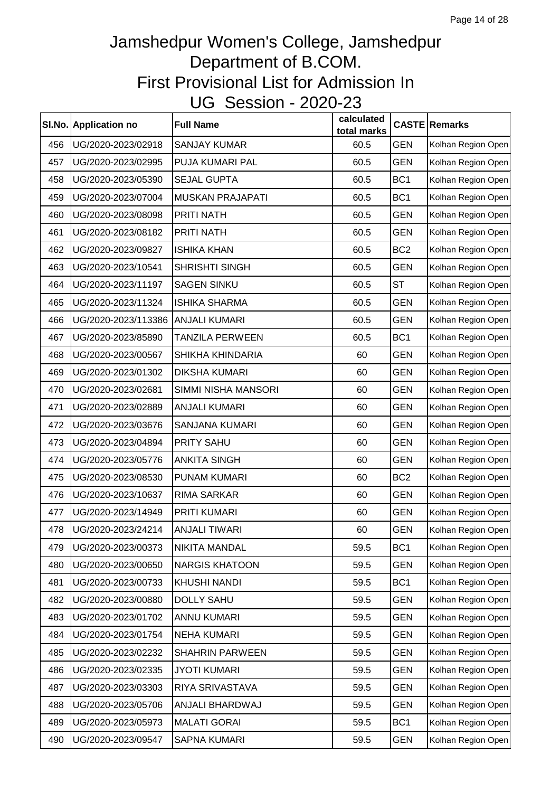|     | SI.No. Application no | <b>Full Name</b>        | calculated<br>total marks |                 | <b>CASTE Remarks</b> |
|-----|-----------------------|-------------------------|---------------------------|-----------------|----------------------|
| 456 | UG/2020-2023/02918    | <b>SANJAY KUMAR</b>     | 60.5                      | <b>GEN</b>      | Kolhan Region Open   |
| 457 | UG/2020-2023/02995    | PUJA KUMARI PAL         | 60.5                      | <b>GEN</b>      | Kolhan Region Open   |
| 458 | UG/2020-2023/05390    | <b>SEJAL GUPTA</b>      | 60.5                      | BC <sub>1</sub> | Kolhan Region Open   |
| 459 | UG/2020-2023/07004    | <b>MUSKAN PRAJAPATI</b> | 60.5                      | BC <sub>1</sub> | Kolhan Region Open   |
| 460 | UG/2020-2023/08098    | PRITI NATH              | 60.5                      | <b>GEN</b>      | Kolhan Region Open   |
| 461 | UG/2020-2023/08182    | PRITI NATH              | 60.5                      | <b>GEN</b>      | Kolhan Region Open   |
| 462 | UG/2020-2023/09827    | <b>ISHIKA KHAN</b>      | 60.5                      | BC <sub>2</sub> | Kolhan Region Open   |
| 463 | UG/2020-2023/10541    | <b>SHRISHTI SINGH</b>   | 60.5                      | <b>GEN</b>      | Kolhan Region Open   |
| 464 | UG/2020-2023/11197    | <b>SAGEN SINKU</b>      | 60.5                      | <b>ST</b>       | Kolhan Region Open   |
| 465 | UG/2020-2023/11324    | <b>ISHIKA SHARMA</b>    | 60.5                      | <b>GEN</b>      | Kolhan Region Open   |
| 466 | UG/2020-2023/113386   | <b>ANJALI KUMARI</b>    | 60.5                      | <b>GEN</b>      | Kolhan Region Open   |
| 467 | UG/2020-2023/85890    | <b>TANZILA PERWEEN</b>  | 60.5                      | BC <sub>1</sub> | Kolhan Region Open   |
| 468 | UG/2020-2023/00567    | SHIKHA KHINDARIA        | 60                        | <b>GEN</b>      | Kolhan Region Open   |
| 469 | UG/2020-2023/01302    | <b>DIKSHA KUMARI</b>    | 60                        | <b>GEN</b>      | Kolhan Region Open   |
| 470 | UG/2020-2023/02681    | SIMMI NISHA MANSORI     | 60                        | <b>GEN</b>      | Kolhan Region Open   |
| 471 | UG/2020-2023/02889    | <b>ANJALI KUMARI</b>    | 60                        | <b>GEN</b>      | Kolhan Region Open   |
| 472 | UG/2020-2023/03676    | SANJANA KUMARI          | 60                        | <b>GEN</b>      | Kolhan Region Open   |
| 473 | UG/2020-2023/04894    | PRITY SAHU              | 60                        | <b>GEN</b>      | Kolhan Region Open   |
| 474 | UG/2020-2023/05776    | <b>ANKITA SINGH</b>     | 60                        | <b>GEN</b>      | Kolhan Region Open   |
| 475 | UG/2020-2023/08530    | PUNAM KUMARI            | 60                        | BC <sub>2</sub> | Kolhan Region Open   |
| 476 | UG/2020-2023/10637    | RIMA SARKAR             | 60                        | <b>GEN</b>      | Kolhan Region Open   |
| 477 | UG/2020-2023/14949    | PRITI KUMARI            | 60                        | <b>GEN</b>      | Kolhan Region Open   |
| 478 | UG/2020-2023/24214    | ANJALI TIWARI           | 60                        | <b>GEN</b>      | Kolhan Region Open   |
| 479 | UG/2020-2023/00373    | <b>NIKITA MANDAL</b>    | 59.5                      | BC <sub>1</sub> | Kolhan Region Open   |
| 480 | UG/2020-2023/00650    | <b>NARGIS KHATOON</b>   | 59.5                      | <b>GEN</b>      | Kolhan Region Open   |
| 481 | UG/2020-2023/00733    | <b>KHUSHI NANDI</b>     | 59.5                      | BC <sub>1</sub> | Kolhan Region Open   |
| 482 | UG/2020-2023/00880    | <b>DOLLY SAHU</b>       | 59.5                      | <b>GEN</b>      | Kolhan Region Open   |
| 483 | UG/2020-2023/01702    | <b>ANNU KUMARI</b>      | 59.5                      | <b>GEN</b>      | Kolhan Region Open   |
| 484 | UG/2020-2023/01754    | <b>NEHA KUMARI</b>      | 59.5                      | <b>GEN</b>      | Kolhan Region Open   |
| 485 | UG/2020-2023/02232    | <b>SHAHRIN PARWEEN</b>  | 59.5                      | <b>GEN</b>      | Kolhan Region Open   |
| 486 | UG/2020-2023/02335    | <b>JYOTI KUMARI</b>     | 59.5                      | <b>GEN</b>      | Kolhan Region Open   |
| 487 | UG/2020-2023/03303    | RIYA SRIVASTAVA         | 59.5                      | <b>GEN</b>      | Kolhan Region Open   |
| 488 | UG/2020-2023/05706    | ANJALI BHARDWAJ         | 59.5                      | <b>GEN</b>      | Kolhan Region Open   |
| 489 | UG/2020-2023/05973    | <b>MALATI GORAI</b>     | 59.5                      | BC <sub>1</sub> | Kolhan Region Open   |
| 490 | UG/2020-2023/09547    | SAPNA KUMARI            | 59.5                      | <b>GEN</b>      | Kolhan Region Open   |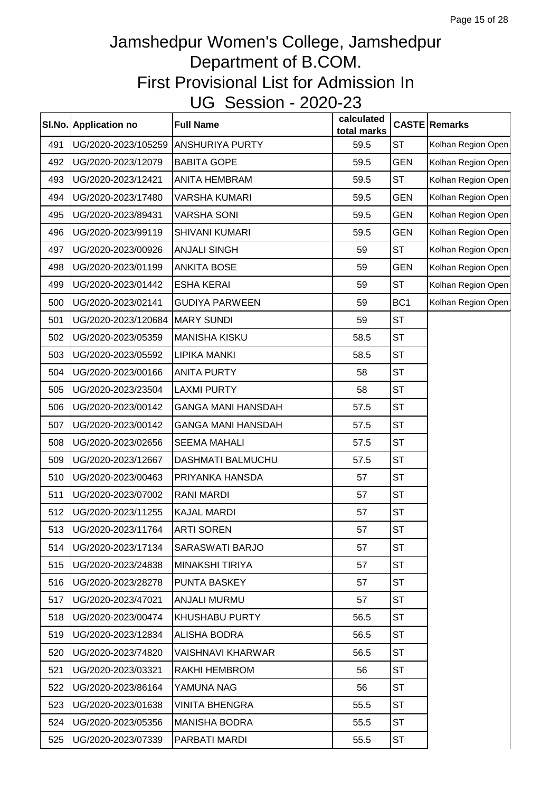|     | SI.No. Application no    | <b>Full Name</b>          | calculated<br>total marks |                 | <b>CASTE Remarks</b> |
|-----|--------------------------|---------------------------|---------------------------|-----------------|----------------------|
| 491 | UG/2020-2023/105259      | ANSHURIYA PURTY           | 59.5                      | <b>ST</b>       | Kolhan Region Open   |
| 492 | UG/2020-2023/12079       | <b>BABITA GOPE</b>        | 59.5                      | <b>GEN</b>      | Kolhan Region Open   |
| 493 | UG/2020-2023/12421       | <b>ANITA HEMBRAM</b>      | 59.5                      | <b>ST</b>       | Kolhan Region Open   |
| 494 | UG/2020-2023/17480       | <b>VARSHA KUMARI</b>      | 59.5                      | <b>GEN</b>      | Kolhan Region Open   |
| 495 | UG/2020-2023/89431       | <b>VARSHA SONI</b>        | 59.5                      | <b>GEN</b>      | Kolhan Region Open   |
| 496 | UG/2020-2023/99119       | <b>SHIVANI KUMARI</b>     | 59.5                      | <b>GEN</b>      | Kolhan Region Open   |
| 497 | UG/2020-2023/00926       | <b>ANJALI SINGH</b>       | 59                        | <b>ST</b>       | Kolhan Region Open   |
| 498 | UG/2020-2023/01199       | <b>ANKITA BOSE</b>        | 59                        | <b>GEN</b>      | Kolhan Region Open   |
| 499 | UG/2020-2023/01442       | <b>ESHA KERAI</b>         | 59                        | <b>ST</b>       | Kolhan Region Open   |
| 500 | UG/2020-2023/02141       | <b>GUDIYA PARWEEN</b>     | 59                        | BC <sub>1</sub> | Kolhan Region Open   |
| 501 | UG/2020-2023/120684      | <b>MARY SUNDI</b>         | 59                        | <b>ST</b>       |                      |
| 502 | UG/2020-2023/05359       | <b>MANISHA KISKU</b>      | 58.5                      | <b>ST</b>       |                      |
| 503 | UG/2020-2023/05592       | <b>LIPIKA MANKI</b>       | 58.5                      | <b>ST</b>       |                      |
| 504 | UG/2020-2023/00166       | <b>ANITA PURTY</b>        | 58                        | <b>ST</b>       |                      |
| 505 | UG/2020-2023/23504       | <b>LAXMI PURTY</b>        | 58                        | <b>ST</b>       |                      |
| 506 | UG/2020-2023/00142       | <b>GANGA MANI HANSDAH</b> | 57.5                      | <b>ST</b>       |                      |
| 507 | UG/2020-2023/00142       | <b>GANGA MANI HANSDAH</b> | 57.5                      | <b>ST</b>       |                      |
| 508 | UG/2020-2023/02656       | <b>SEEMA MAHALI</b>       | 57.5                      | <b>ST</b>       |                      |
| 509 | UG/2020-2023/12667       | <b>DASHMATI BALMUCHU</b>  | 57.5                      | <b>ST</b>       |                      |
| 510 | UG/2020-2023/00463       | PRIYANKA HANSDA           | 57                        | <b>ST</b>       |                      |
| 511 | UG/2020-2023/07002       | <b>RANI MARDI</b>         | 57                        | <b>ST</b>       |                      |
| 512 | UG/2020-2023/11255       | <b>KAJAL MARDI</b>        | 57                        | <b>ST</b>       |                      |
|     | 513   UG/2020-2023/11764 | <b>ARTI SOREN</b>         | 57                        | <b>ST</b>       |                      |
| 514 | UG/2020-2023/17134       | SARASWATI BARJO           | 57                        | <b>ST</b>       |                      |
| 515 | UG/2020-2023/24838       | <b>MINAKSHI TIRIYA</b>    | 57                        | <b>ST</b>       |                      |
| 516 | UG/2020-2023/28278       | PUNTA BASKEY              | 57                        | <b>ST</b>       |                      |
| 517 | UG/2020-2023/47021       | <b>ANJALI MURMU</b>       | 57                        | <b>ST</b>       |                      |
| 518 | UG/2020-2023/00474       | <b>KHUSHABU PURTY</b>     | 56.5                      | <b>ST</b>       |                      |
| 519 | UG/2020-2023/12834       | <b>ALISHA BODRA</b>       | 56.5                      | <b>ST</b>       |                      |
| 520 | UG/2020-2023/74820       | VAISHNAVI KHARWAR         | 56.5                      | <b>ST</b>       |                      |
| 521 | UG/2020-2023/03321       | RAKHI HEMBROM             | 56                        | <b>ST</b>       |                      |
| 522 | UG/2020-2023/86164       | YAMUNA NAG                | 56                        | <b>ST</b>       |                      |
| 523 | UG/2020-2023/01638       | VINITA BHENGRA            | 55.5                      | <b>ST</b>       |                      |
| 524 | UG/2020-2023/05356       | <b>MANISHA BODRA</b>      | 55.5                      | <b>ST</b>       |                      |
| 525 | UG/2020-2023/07339       | PARBATI MARDI             | 55.5                      | <b>ST</b>       |                      |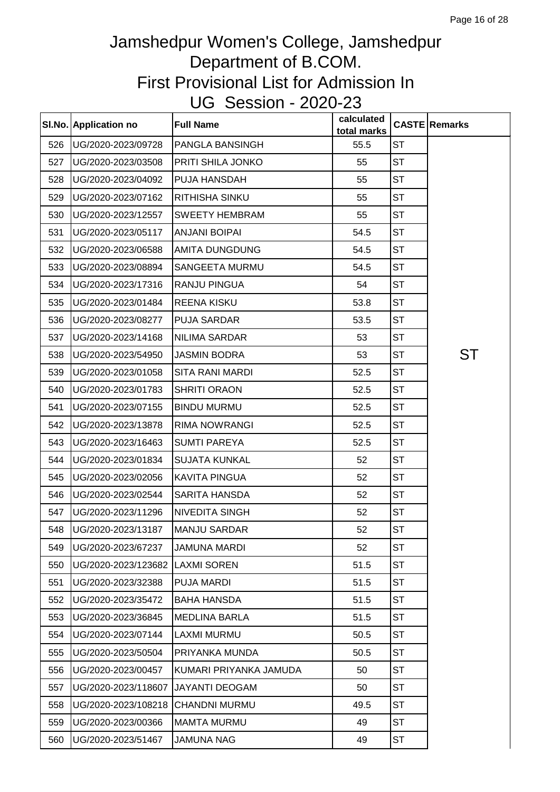|     | SI.No. Application no           | <b>Full Name</b>         | calculated<br>total marks |           | <b>CASTE Remarks</b> |
|-----|---------------------------------|--------------------------|---------------------------|-----------|----------------------|
| 526 | UG/2020-2023/09728              | <b>PANGLA BANSINGH</b>   | 55.5                      | <b>ST</b> |                      |
| 527 | UG/2020-2023/03508              | <b>PRITI SHILA JONKO</b> | 55                        | <b>ST</b> |                      |
| 528 | UG/2020-2023/04092              | PUJA HANSDAH             | 55                        | <b>ST</b> |                      |
| 529 | UG/2020-2023/07162              | <b>RITHISHA SINKU</b>    | 55                        | <b>ST</b> |                      |
| 530 | UG/2020-2023/12557              | <b>SWEETY HEMBRAM</b>    | 55                        | <b>ST</b> |                      |
| 531 | UG/2020-2023/05117              | <b>ANJANI BOIPAI</b>     | 54.5                      | <b>ST</b> |                      |
| 532 | UG/2020-2023/06588              | <b>AMITA DUNGDUNG</b>    | 54.5                      | <b>ST</b> |                      |
| 533 | UG/2020-2023/08894              | <b>SANGEETA MURMU</b>    | 54.5                      | ST        |                      |
| 534 | UG/2020-2023/17316              | <b>RANJU PINGUA</b>      | 54                        | ST        |                      |
| 535 | UG/2020-2023/01484              | <b>REENA KISKU</b>       | 53.8                      | <b>ST</b> |                      |
| 536 | UG/2020-2023/08277              | <b>PUJA SARDAR</b>       | 53.5                      | <b>ST</b> |                      |
| 537 | UG/2020-2023/14168              | <b>NILIMA SARDAR</b>     | 53                        | <b>ST</b> |                      |
| 538 | UG/2020-2023/54950              | <b>JASMIN BODRA</b>      | 53                        | <b>ST</b> | ST                   |
| 539 | UG/2020-2023/01058              | <b>SITA RANI MARDI</b>   | 52.5                      | <b>ST</b> |                      |
| 540 | UG/2020-2023/01783              | <b>SHRITI ORAON</b>      | 52.5                      | <b>ST</b> |                      |
| 541 | UG/2020-2023/07155              | <b>BINDU MURMU</b>       | 52.5                      | <b>ST</b> |                      |
| 542 | UG/2020-2023/13878              | <b>RIMA NOWRANGI</b>     | 52.5                      | <b>ST</b> |                      |
| 543 | UG/2020-2023/16463              | <b>SUMTI PAREYA</b>      | 52.5                      | <b>ST</b> |                      |
| 544 | UG/2020-2023/01834              | <b>SUJATA KUNKAL</b>     | 52                        | ST        |                      |
| 545 | UG/2020-2023/02056              | <b>KAVITA PINGUA</b>     | 52                        | <b>ST</b> |                      |
| 546 | UG/2020-2023/02544              | <b>SARITA HANSDA</b>     | 52                        | <b>ST</b> |                      |
| 547 | UG/2020-2023/11296              | <b>NIVEDITA SINGH</b>    | 52                        | <b>ST</b> |                      |
|     | 548   UG/2020-2023/13187        | <b>MANJU SARDAR</b>      | 52                        | ST        |                      |
| 549 | UG/2020-2023/67237              | <b>JAMUNA MARDI</b>      | 52                        | <b>ST</b> |                      |
| 550 | UG/2020-2023/123682 LAXMI SOREN |                          | 51.5                      | <b>ST</b> |                      |
| 551 | UG/2020-2023/32388              | <b>PUJA MARDI</b>        | 51.5                      | <b>ST</b> |                      |
| 552 | UG/2020-2023/35472              | <b>BAHA HANSDA</b>       | 51.5                      | <b>ST</b> |                      |
| 553 | UG/2020-2023/36845              | <b>MEDLINA BARLA</b>     | 51.5                      | ST        |                      |
| 554 | UG/2020-2023/07144              | <b>LAXMI MURMU</b>       | 50.5                      | ST        |                      |
| 555 | UG/2020-2023/50504              | PRIYANKA MUNDA           | 50.5                      | <b>ST</b> |                      |
| 556 | UG/2020-2023/00457              | KUMARI PRIYANKA JAMUDA   | 50                        | ST        |                      |
| 557 | UG/2020-2023/118607             | <b>JAYANTI DEOGAM</b>    | 50                        | ST        |                      |
| 558 | UG/2020-2023/108218             | <b>CHANDNI MURMU</b>     | 49.5                      | ST        |                      |
| 559 | UG/2020-2023/00366              | <b>MAMTA MURMU</b>       | 49                        | ST        |                      |
| 560 | UG/2020-2023/51467              | <b>JAMUNA NAG</b>        | 49                        | <b>ST</b> |                      |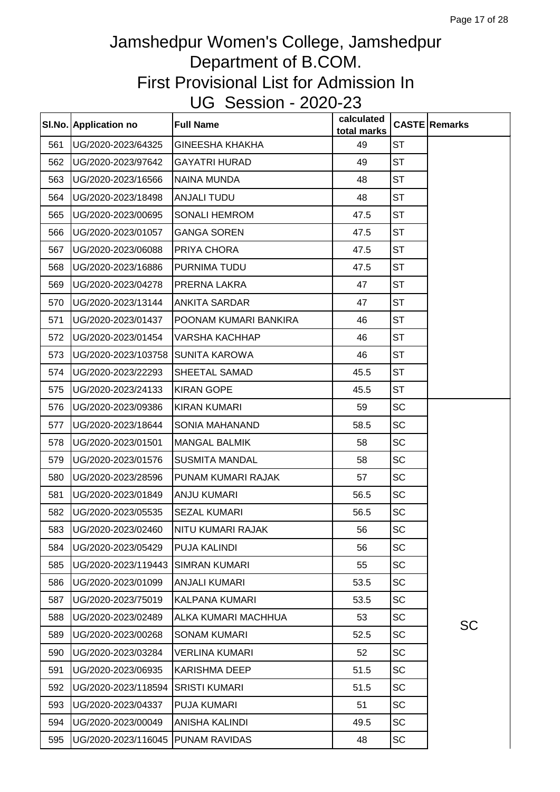|     | SI.No. Application no | <b>Full Name</b>       | calculated<br>total marks |           | <b>CASTE</b> Remarks |
|-----|-----------------------|------------------------|---------------------------|-----------|----------------------|
| 561 | UG/2020-2023/64325    | <b>GINEESHA KHAKHA</b> | 49                        | <b>ST</b> |                      |
| 562 | UG/2020-2023/97642    | <b>GAYATRI HURAD</b>   | 49                        | <b>ST</b> |                      |
| 563 | UG/2020-2023/16566    | <b>NAINA MUNDA</b>     | 48                        | <b>ST</b> |                      |
| 564 | UG/2020-2023/18498    | <b>ANJALI TUDU</b>     | 48                        | <b>ST</b> |                      |
| 565 | UG/2020-2023/00695    | <b>SONALI HEMROM</b>   | 47.5                      | <b>ST</b> |                      |
| 566 | UG/2020-2023/01057    | <b>GANGA SOREN</b>     | 47.5                      | <b>ST</b> |                      |
| 567 | UG/2020-2023/06088    | PRIYA CHORA            | 47.5                      | <b>ST</b> |                      |
| 568 | UG/2020-2023/16886    | PURNIMA TUDU           | 47.5                      | <b>ST</b> |                      |
| 569 | UG/2020-2023/04278    | PRERNA LAKRA           | 47                        | <b>ST</b> |                      |
| 570 | UG/2020-2023/13144    | <b>ANKITA SARDAR</b>   | 47                        | <b>ST</b> |                      |
| 571 | UG/2020-2023/01437    | POONAM KUMARI BANKIRA  | 46                        | <b>ST</b> |                      |
| 572 | UG/2020-2023/01454    | VARSHA KACHHAP         | 46                        | <b>ST</b> |                      |
| 573 | UG/2020-2023/103758   | <b>SUNITA KAROWA</b>   | 46                        | <b>ST</b> |                      |
| 574 | UG/2020-2023/22293    | SHEETAL SAMAD          | 45.5                      | <b>ST</b> |                      |
| 575 | UG/2020-2023/24133    | <b>KIRAN GOPE</b>      | 45.5                      | <b>ST</b> |                      |
| 576 | UG/2020-2023/09386    | <b>KIRAN KUMARI</b>    | 59                        | SC        |                      |
| 577 | UG/2020-2023/18644    | SONIA MAHANAND         | 58.5                      | <b>SC</b> |                      |
| 578 | UG/2020-2023/01501    | <b>MANGAL BALMIK</b>   | 58                        | <b>SC</b> |                      |
| 579 | UG/2020-2023/01576    | <b>SUSMITA MANDAL</b>  | 58                        | <b>SC</b> |                      |
| 580 | UG/2020-2023/28596    | PUNAM KUMARI RAJAK     | 57                        | <b>SC</b> |                      |
| 581 | UG/2020-2023/01849    | <b>ANJU KUMARI</b>     | 56.5                      | <b>SC</b> |                      |
| 582 | UG/2020-2023/05535    | <b>SEZAL KUMARI</b>    | 56.5                      | <b>SC</b> |                      |
| 583 | UG/2020-2023/02460    | NITU KUMARI RAJAK      | 56                        | SC        |                      |
| 584 | UG/2020-2023/05429    | <b>PUJA KALINDI</b>    | 56                        | <b>SC</b> |                      |
| 585 | UG/2020-2023/119443   | <b>SIMRAN KUMARI</b>   | 55                        | SC        |                      |
| 586 | UG/2020-2023/01099    | <b>ANJALI KUMARI</b>   | 53.5                      | SC        |                      |
| 587 | UG/2020-2023/75019    | <b>KALPANA KUMARI</b>  | 53.5                      | <b>SC</b> |                      |
| 588 | UG/2020-2023/02489    | ALKA KUMARI MACHHUA    | 53                        | SC        |                      |
| 589 | UG/2020-2023/00268    | <b>SONAM KUMARI</b>    | 52.5                      | <b>SC</b> | <b>SC</b>            |
| 590 | UG/2020-2023/03284    | <b>VERLINA KUMARI</b>  | 52                        | <b>SC</b> |                      |
| 591 | UG/2020-2023/06935    | <b>KARISHMA DEEP</b>   | 51.5                      | <b>SC</b> |                      |
| 592 | UG/2020-2023/118594   | <b>SRISTI KUMARI</b>   | 51.5                      | <b>SC</b> |                      |
| 593 | UG/2020-2023/04337    | <b>PUJA KUMARI</b>     | 51                        | <b>SC</b> |                      |
| 594 | UG/2020-2023/00049    | ANISHA KALINDI         | 49.5                      | <b>SC</b> |                      |
| 595 | UG/2020-2023/116045   | <b>PUNAM RAVIDAS</b>   | 48                        | SC        |                      |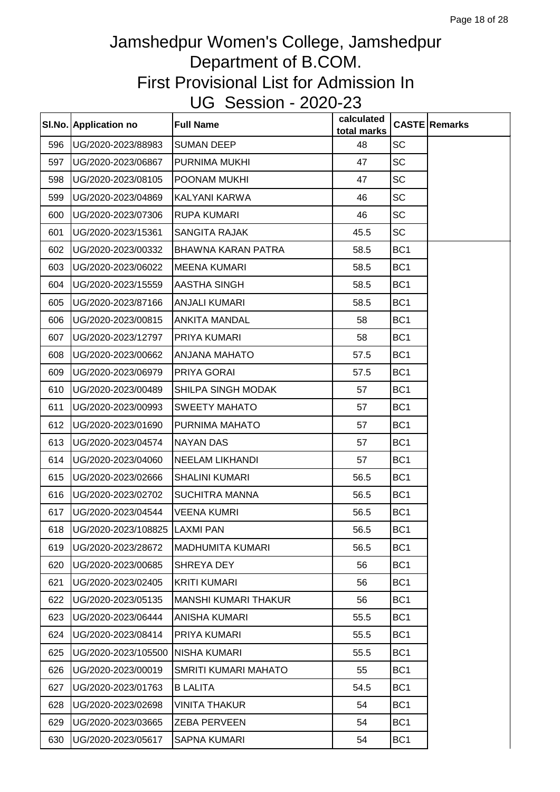|     | SI.No. Application no                 | <b>Full Name</b>            | calculated<br>total marks |                 | <b>CASTE Remarks</b> |
|-----|---------------------------------------|-----------------------------|---------------------------|-----------------|----------------------|
| 596 | UG/2020-2023/88983                    | <b>SUMAN DEEP</b>           | 48                        | <b>SC</b>       |                      |
| 597 | UG/2020-2023/06867                    | PURNIMA MUKHI               | 47                        | <b>SC</b>       |                      |
| 598 | UG/2020-2023/08105                    | POONAM MUKHI                | 47                        | <b>SC</b>       |                      |
| 599 | UG/2020-2023/04869                    | KALYANI KARWA               | 46                        | <b>SC</b>       |                      |
| 600 | UG/2020-2023/07306                    | <b>RUPA KUMARI</b>          | 46                        | <b>SC</b>       |                      |
| 601 | UG/2020-2023/15361                    | <b>SANGITA RAJAK</b>        | 45.5                      | <b>SC</b>       |                      |
| 602 | UG/2020-2023/00332                    | BHAWNA KARAN PATRA          | 58.5                      | BC <sub>1</sub> |                      |
| 603 | UG/2020-2023/06022                    | <b>MEENA KUMARI</b>         | 58.5                      | BC <sub>1</sub> |                      |
| 604 | UG/2020-2023/15559                    | AASTHA SINGH                | 58.5                      | BC <sub>1</sub> |                      |
| 605 | UG/2020-2023/87166                    | <b>ANJALI KUMARI</b>        | 58.5                      | BC <sub>1</sub> |                      |
| 606 | UG/2020-2023/00815                    | <b>ANKITA MANDAL</b>        | 58                        | BC <sub>1</sub> |                      |
| 607 | UG/2020-2023/12797                    | PRIYA KUMARI                | 58                        | BC <sub>1</sub> |                      |
| 608 | UG/2020-2023/00662                    | ANJANA MAHATO               | 57.5                      | BC <sub>1</sub> |                      |
| 609 | UG/2020-2023/06979                    | PRIYA GORAI                 | 57.5                      | BC <sub>1</sub> |                      |
| 610 | UG/2020-2023/00489                    | SHILPA SINGH MODAK          | 57                        | BC <sub>1</sub> |                      |
| 611 | UG/2020-2023/00993                    | <b>SWEETY MAHATO</b>        | 57                        | BC <sub>1</sub> |                      |
| 612 | UG/2020-2023/01690                    | PURNIMA MAHATO              | 57                        | BC <sub>1</sub> |                      |
| 613 | UG/2020-2023/04574                    | <b>NAYAN DAS</b>            | 57                        | BC <sub>1</sub> |                      |
| 614 | UG/2020-2023/04060                    | <b>NEELAM LIKHANDI</b>      | 57                        | BC <sub>1</sub> |                      |
| 615 | UG/2020-2023/02666                    | <b>SHALINI KUMARI</b>       | 56.5                      | BC <sub>1</sub> |                      |
| 616 | UG/2020-2023/02702                    | <b>SUCHITRA MANNA</b>       | 56.5                      | BC <sub>1</sub> |                      |
| 617 | UG/2020-2023/04544                    | <b>VEENA KUMRI</b>          | 56.5                      | BC <sub>1</sub> |                      |
|     | 618   UG/2020-2023/108825   LAXMI PAN |                             | 56.5                      | BC <sub>1</sub> |                      |
| 619 | UG/2020-2023/28672                    | <b>MADHUMITA KUMARI</b>     | 56.5                      | BC <sub>1</sub> |                      |
| 620 | UG/2020-2023/00685                    | SHREYA DEY                  | 56                        | BC <sub>1</sub> |                      |
| 621 | UG/2020-2023/02405                    | <b>KRITI KUMARI</b>         | 56                        | BC <sub>1</sub> |                      |
| 622 | UG/2020-2023/05135                    | <b>MANSHI KUMARI THAKUR</b> | 56                        | BC <sub>1</sub> |                      |
| 623 | UG/2020-2023/06444                    | <b>ANISHA KUMARI</b>        | 55.5                      | BC <sub>1</sub> |                      |
| 624 | UG/2020-2023/08414                    | PRIYA KUMARI                | 55.5                      | BC <sub>1</sub> |                      |
| 625 | UG/2020-2023/105500                   | <b>NISHA KUMARI</b>         | 55.5                      | BC <sub>1</sub> |                      |
| 626 | UG/2020-2023/00019                    | SMRITI KUMARI MAHATO        | 55                        | BC <sub>1</sub> |                      |
| 627 | UG/2020-2023/01763                    | <b>B LALITA</b>             | 54.5                      | BC <sub>1</sub> |                      |
| 628 | UG/2020-2023/02698                    | <b>VINITA THAKUR</b>        | 54                        | BC <sub>1</sub> |                      |
| 629 | UG/2020-2023/03665                    | <b>ZEBA PERVEEN</b>         | 54                        | BC <sub>1</sub> |                      |
| 630 | UG/2020-2023/05617                    | <b>SAPNA KUMARI</b>         | 54                        | BC <sub>1</sub> |                      |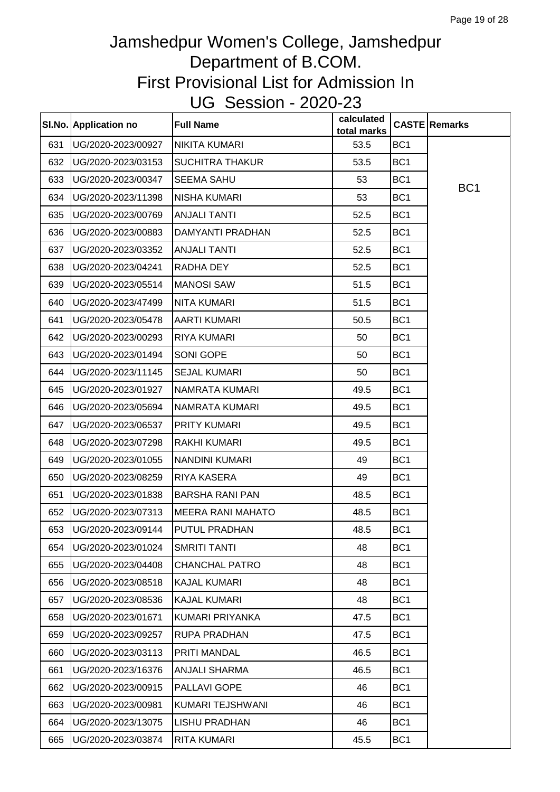|     | SI.No. Application no | <b>Full Name</b>         | calculated<br>total marks |                 | <b>CASTE Remarks</b> |
|-----|-----------------------|--------------------------|---------------------------|-----------------|----------------------|
| 631 | UG/2020-2023/00927    | <b>NIKITA KUMARI</b>     | 53.5                      | BC <sub>1</sub> |                      |
| 632 | UG/2020-2023/03153    | <b>SUCHITRA THAKUR</b>   | 53.5                      | BC <sub>1</sub> |                      |
| 633 | UG/2020-2023/00347    | <b>SEEMA SAHU</b>        | 53                        | BC <sub>1</sub> | BC <sub>1</sub>      |
| 634 | UG/2020-2023/11398    | <b>NISHA KUMARI</b>      | 53                        | BC <sub>1</sub> |                      |
| 635 | UG/2020-2023/00769    | <b>ANJALI TANTI</b>      | 52.5                      | BC <sub>1</sub> |                      |
| 636 | UG/2020-2023/00883    | DAMYANTI PRADHAN         | 52.5                      | BC <sub>1</sub> |                      |
| 637 | UG/2020-2023/03352    | <b>ANJALI TANTI</b>      | 52.5                      | BC <sub>1</sub> |                      |
| 638 | UG/2020-2023/04241    | RADHA DEY                | 52.5                      | BC <sub>1</sub> |                      |
| 639 | UG/2020-2023/05514    | <b>MANOSI SAW</b>        | 51.5                      | BC <sub>1</sub> |                      |
| 640 | UG/2020-2023/47499    | <b>NITA KUMARI</b>       | 51.5                      | BC <sub>1</sub> |                      |
| 641 | UG/2020-2023/05478    | <b>AARTI KUMARI</b>      | 50.5                      | BC <sub>1</sub> |                      |
| 642 | UG/2020-2023/00293    | <b>RIYA KUMARI</b>       | 50                        | BC <sub>1</sub> |                      |
| 643 | UG/2020-2023/01494    | SONI GOPE                | 50                        | BC <sub>1</sub> |                      |
| 644 | UG/2020-2023/11145    | <b>SEJAL KUMARI</b>      | 50                        | BC <sub>1</sub> |                      |
| 645 | UG/2020-2023/01927    | NAMRATA KUMARI           | 49.5                      | BC <sub>1</sub> |                      |
| 646 | UG/2020-2023/05694    | NAMRATA KUMARI           | 49.5                      | BC <sub>1</sub> |                      |
| 647 | UG/2020-2023/06537    | PRITY KUMARI             | 49.5                      | BC <sub>1</sub> |                      |
| 648 | UG/2020-2023/07298    | <b>RAKHI KUMARI</b>      | 49.5                      | BC <sub>1</sub> |                      |
| 649 | UG/2020-2023/01055    | <b>NANDINI KUMARI</b>    | 49                        | BC <sub>1</sub> |                      |
| 650 | UG/2020-2023/08259    | <b>RIYA KASERA</b>       | 49                        | BC <sub>1</sub> |                      |
| 651 | UG/2020-2023/01838    | <b>BARSHA RANI PAN</b>   | 48.5                      | BC <sub>1</sub> |                      |
| 652 | UG/2020-2023/07313    | <b>MEERA RANI MAHATO</b> | 48.5                      | BC <sub>1</sub> |                      |
| 653 | UG/2020-2023/09144    | PUTUL PRADHAN            | 48.5                      | BC <sub>1</sub> |                      |
| 654 | UG/2020-2023/01024    | <b>SMRITI TANTI</b>      | 48                        | BC <sub>1</sub> |                      |
| 655 | UG/2020-2023/04408    | <b>CHANCHAL PATRO</b>    | 48                        | BC <sub>1</sub> |                      |
| 656 | UG/2020-2023/08518    | <b>KAJAL KUMARI</b>      | 48                        | BC <sub>1</sub> |                      |
| 657 | UG/2020-2023/08536    | <b>KAJAL KUMARI</b>      | 48                        | BC <sub>1</sub> |                      |
| 658 | UG/2020-2023/01671    | KUMARI PRIYANKA          | 47.5                      | BC <sub>1</sub> |                      |
| 659 | UG/2020-2023/09257    | <b>RUPA PRADHAN</b>      | 47.5                      | BC <sub>1</sub> |                      |
| 660 | UG/2020-2023/03113    | PRITI MANDAL             | 46.5                      | BC <sub>1</sub> |                      |
| 661 | UG/2020-2023/16376    | <b>ANJALI SHARMA</b>     | 46.5                      | BC <sub>1</sub> |                      |
| 662 | UG/2020-2023/00915    | PALLAVI GOPE             | 46                        | BC <sub>1</sub> |                      |
| 663 | UG/2020-2023/00981    | KUMARI TEJSHWANI         | 46                        | BC <sub>1</sub> |                      |
| 664 | UG/2020-2023/13075    | <b>LISHU PRADHAN</b>     | 46                        | BC <sub>1</sub> |                      |
| 665 | UG/2020-2023/03874    | <b>RITA KUMARI</b>       | 45.5                      | BC <sub>1</sub> |                      |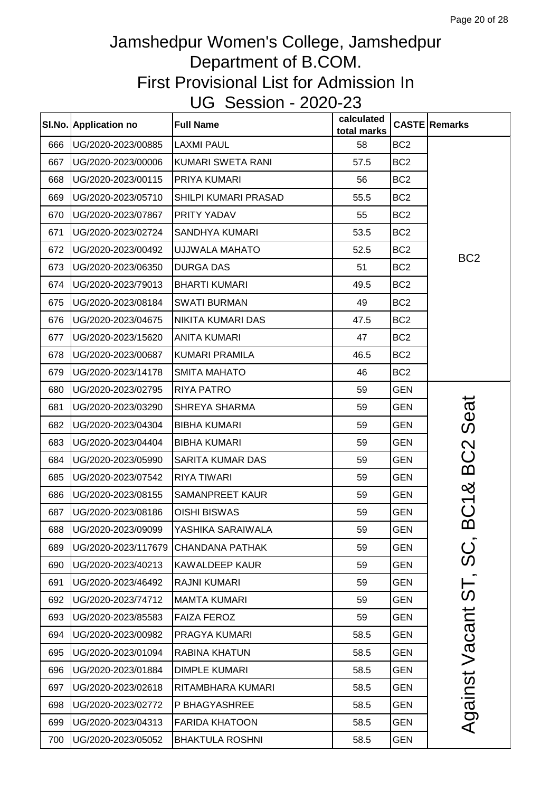|     | SI.No. Application no  | <b>Full Name</b>       | calculated<br>total marks |                 | <b>CASTE</b> Remarks |
|-----|------------------------|------------------------|---------------------------|-----------------|----------------------|
| 666 | UG/2020-2023/00885     | <b>LAXMI PAUL</b>      | 58                        | BC <sub>2</sub> |                      |
| 667 | UG/2020-2023/00006     | KUMARI SWETA RANI      | 57.5                      | BC <sub>2</sub> |                      |
| 668 | UG/2020-2023/00115     | PRIYA KUMARI           | 56                        | BC <sub>2</sub> |                      |
| 669 | UG/2020-2023/05710     | SHILPI KUMARI PRASAD   | 55.5                      | BC <sub>2</sub> |                      |
| 670 | UG/2020-2023/07867     | PRITY YADAV            | 55                        | BC <sub>2</sub> |                      |
| 671 | UG/2020-2023/02724     | SANDHYA KUMARI         | 53.5                      | BC <sub>2</sub> |                      |
| 672 | UG/2020-2023/00492     | <b>UJJWALA MAHATO</b>  | 52.5                      | BC <sub>2</sub> | BC <sub>2</sub>      |
| 673 | UG/2020-2023/06350     | <b>DURGA DAS</b>       | 51                        | BC <sub>2</sub> |                      |
| 674 | UG/2020-2023/79013     | <b>BHARTI KUMARI</b>   | 49.5                      | BC <sub>2</sub> |                      |
| 675 | UG/2020-2023/08184     | <b>SWATI BURMAN</b>    | 49                        | BC <sub>2</sub> |                      |
| 676 | UG/2020-2023/04675     | NIKITA KUMARI DAS      | 47.5                      | BC <sub>2</sub> |                      |
| 677 | UG/2020-2023/15620     | <b>ANITA KUMARI</b>    | 47                        | BC <sub>2</sub> |                      |
| 678 | UG/2020-2023/00687     | KUMARI PRAMILA         | 46.5                      | BC <sub>2</sub> |                      |
| 679 | UG/2020-2023/14178     | <b>SMITA MAHATO</b>    | 46                        | BC <sub>2</sub> |                      |
| 680 | UG/2020-2023/02795     | <b>RIYA PATRO</b>      | 59                        | <b>GEN</b>      |                      |
| 681 | UG/2020-2023/03290     | SHREYA SHARMA          | 59                        | <b>GEN</b>      | Seat                 |
| 682 | UG/2020-2023/04304     | <b>BIBHA KUMARI</b>    | 59                        | <b>GEN</b>      |                      |
| 683 | UG/2020-2023/04404     | <b>BIBHA KUMARI</b>    | 59                        | <b>GEN</b>      |                      |
| 684 | UG/2020-2023/05990     | SARITA KUMAR DAS       | 59                        | <b>GEN</b>      | BC <sub>2</sub>      |
| 685 | UG/2020-2023/07542     | RIYA TIWARI            | 59                        | <b>GEN</b>      |                      |
| 686 | UG/2020-2023/08155     | SAMANPREET KAUR        | 59                        | <b>GEN</b>      | ×                    |
| 687 | UG/2020-2023/08186     | <b>OISHI BISWAS</b>    | 59                        | <b>GEN</b>      | BC <sub>1</sub>      |
|     | 688 UG/2020-2023/09099 | YASHIKA SARAIWALA      | 59                        | <b>GEN</b>      |                      |
| 689 | UG/2020-2023/117679    | <b>CHANDANA PATHAK</b> | 59                        | <b>GEN</b>      | ပ္တ                  |
| 690 | UG/2020-2023/40213     | <b>KAWALDEEP KAUR</b>  | 59                        | <b>GEN</b>      |                      |
| 691 | UG/2020-2023/46492     | <b>RAJNI KUMARI</b>    | 59                        | <b>GEN</b>      |                      |
| 692 | UG/2020-2023/74712     | <b>MAMTA KUMARI</b>    | 59                        | <b>GEN</b>      |                      |
| 693 | UG/2020-2023/85583     | <b>FAIZA FEROZ</b>     | 59                        | <b>GEN</b>      |                      |
| 694 | UG/2020-2023/00982     | PRAGYA KUMARI          | 58.5                      | <b>GEN</b>      |                      |
| 695 | UG/2020-2023/01094     | <b>RABINA KHATUN</b>   | 58.5                      | <b>GEN</b>      |                      |
| 696 | UG/2020-2023/01884     | <b>DIMPLE KUMARI</b>   | 58.5                      | <b>GEN</b>      |                      |
| 697 | UG/2020-2023/02618     | RITAMBHARA KUMARI      | 58.5                      | <b>GEN</b>      | Against Vacant ST,   |
| 698 | UG/2020-2023/02772     | P BHAGYASHREE          | 58.5                      | <b>GEN</b>      |                      |
| 699 | UG/2020-2023/04313     | <b>FARIDA KHATOON</b>  | 58.5                      | <b>GEN</b>      |                      |
| 700 | UG/2020-2023/05052     | <b>BHAKTULA ROSHNI</b> | 58.5                      | <b>GEN</b>      |                      |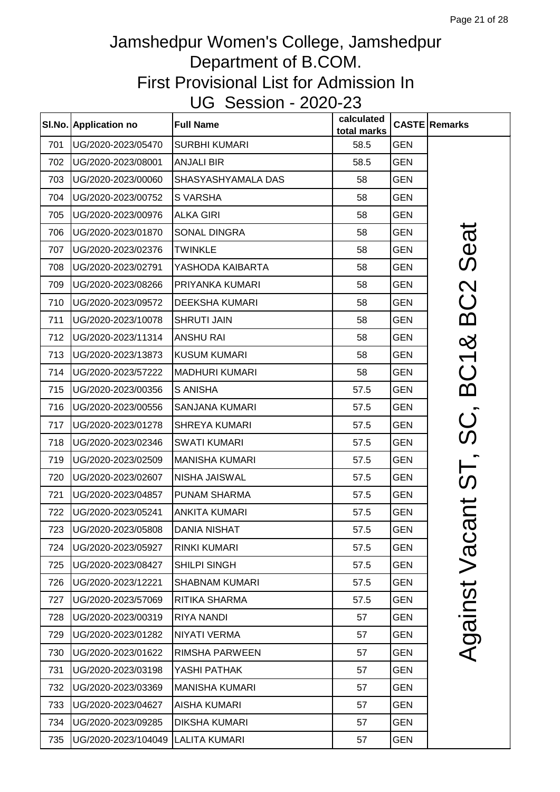|     | SI.No. Application no | <b>Full Name</b>      | calculated<br>total marks |            | <b>CASTE Remarks</b>  |
|-----|-----------------------|-----------------------|---------------------------|------------|-----------------------|
| 701 | UG/2020-2023/05470    | <b>SURBHI KUMARI</b>  | 58.5                      | <b>GEN</b> |                       |
| 702 | UG/2020-2023/08001    | <b>ANJALI BIR</b>     | 58.5                      | <b>GEN</b> |                       |
| 703 | UG/2020-2023/00060    | SHASYASHYAMALA DAS    | 58                        | <b>GEN</b> |                       |
| 704 | UG/2020-2023/00752    | <b>SVARSHA</b>        | 58                        | <b>GEN</b> |                       |
| 705 | UG/2020-2023/00976    | <b>ALKA GIRI</b>      | 58                        | <b>GEN</b> |                       |
| 706 | UG/2020-2023/01870    | <b>SONAL DINGRA</b>   | 58                        | <b>GEN</b> | Seat                  |
| 707 | UG/2020-2023/02376    | <b>TWINKLE</b>        | 58                        | <b>GEN</b> |                       |
| 708 | UG/2020-2023/02791    | YASHODA KAIBARTA      | 58                        | <b>GEN</b> |                       |
| 709 | UG/2020-2023/08266    | PRIYANKA KUMARI       | 58                        | <b>GEN</b> |                       |
| 710 | UG/2020-2023/09572    | <b>DEEKSHA KUMARI</b> | 58                        | <b>GEN</b> |                       |
| 711 | UG/2020-2023/10078    | <b>SHRUTI JAIN</b>    | 58                        | <b>GEN</b> | BC <sub>2</sub>       |
| 712 | UG/2020-2023/11314    | <b>ANSHU RAI</b>      | 58                        | <b>GEN</b> |                       |
| 713 | UG/2020-2023/13873    | <b>KUSUM KUMARI</b>   | 58                        | <b>GEN</b> |                       |
| 714 | UG/2020-2023/57222    | <b>MADHURI KUMARI</b> | 58                        | <b>GEN</b> |                       |
| 715 | UG/2020-2023/00356    | S ANISHA              | 57.5                      | <b>GEN</b> | BC1&                  |
| 716 | UG/2020-2023/00556    | <b>SANJANA KUMARI</b> | 57.5                      | <b>GEN</b> |                       |
| 717 | UG/2020-2023/01278    | <b>SHREYA KUMARI</b>  | 57.5                      | <b>GEN</b> | nt ST, SC,            |
| 718 | UG/2020-2023/02346    | <b>SWATI KUMARI</b>   | 57.5                      | <b>GEN</b> |                       |
| 719 | UG/2020-2023/02509    | <b>MANISHA KUMARI</b> | 57.5                      | <b>GEN</b> |                       |
| 720 | UG/2020-2023/02607    | <b>NISHA JAISWAL</b>  | 57.5                      | <b>GEN</b> |                       |
| 721 | UG/2020-2023/04857    | PUNAM SHARMA          | 57.5                      | <b>GEN</b> |                       |
| 722 | UG/2020-2023/05241    | <b>ANKITA KUMARI</b>  | 57.5                      | <b>GEN</b> |                       |
| 723 | UG/2020-2023/05808    | DANIA NISHAT          | 57.5                      | GEN        | $\boldsymbol{\varpi}$ |
| 724 | UG/2020-2023/05927    | <b>RINKI KUMARI</b>   | 57.5                      | <b>GEN</b> | Vaci                  |
| 725 | UG/2020-2023/08427    | SHILPI SINGH          | 57.5                      | <b>GEN</b> |                       |
| 726 | UG/2020-2023/12221    | <b>SHABNAM KUMARI</b> | 57.5                      | <b>GEN</b> |                       |
| 727 | UG/2020-2023/57069    | <b>RITIKA SHARMA</b>  | 57.5                      | <b>GEN</b> | Against               |
| 728 | UG/2020-2023/00319    | <b>RIYA NANDI</b>     | 57                        | <b>GEN</b> |                       |
| 729 | UG/2020-2023/01282    | <b>NIYATI VERMA</b>   | 57                        | <b>GEN</b> |                       |
| 730 | UG/2020-2023/01622    | <b>RIMSHA PARWEEN</b> | 57                        | <b>GEN</b> |                       |
| 731 | UG/2020-2023/03198    | YASHI PATHAK          | 57                        | <b>GEN</b> |                       |
| 732 | UG/2020-2023/03369    | <b>MANISHA KUMARI</b> | 57                        | <b>GEN</b> |                       |
| 733 | UG/2020-2023/04627    | <b>AISHA KUMARI</b>   | 57                        | <b>GEN</b> |                       |
| 734 | UG/2020-2023/09285    | <b>DIKSHA KUMARI</b>  | 57                        | <b>GEN</b> |                       |
| 735 | UG/2020-2023/104049   | <b>LALITA KUMARI</b>  | 57                        | <b>GEN</b> |                       |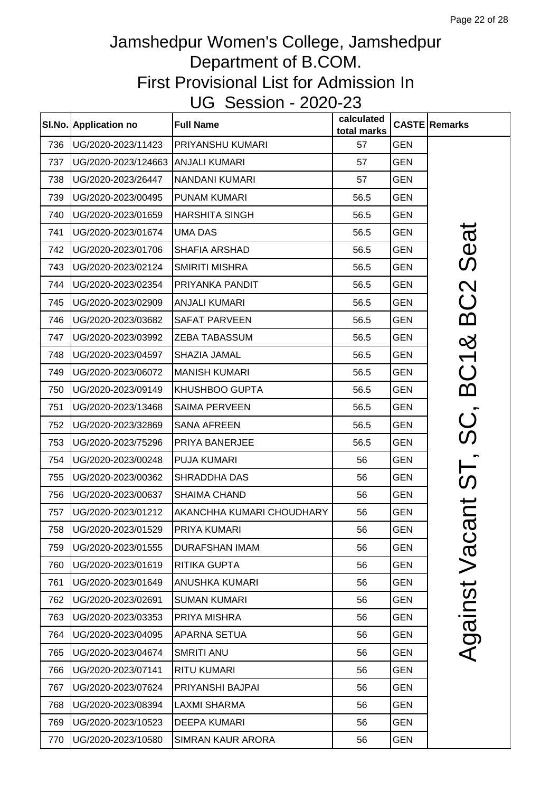|     | SI.No. Application no | <b>Full Name</b>          | calculated<br>total marks |            | <b>CASTE Remarks</b>        |
|-----|-----------------------|---------------------------|---------------------------|------------|-----------------------------|
| 736 | UG/2020-2023/11423    | <b>PRIYANSHU KUMARI</b>   | 57                        | <b>GEN</b> |                             |
| 737 | UG/2020-2023/124663   | <b>ANJALI KUMARI</b>      | 57                        | <b>GEN</b> |                             |
| 738 | UG/2020-2023/26447    | <b>NANDANI KUMARI</b>     | 57                        | <b>GEN</b> |                             |
| 739 | UG/2020-2023/00495    | <b>PUNAM KUMARI</b>       | 56.5                      | <b>GEN</b> |                             |
| 740 | UG/2020-2023/01659    | <b>HARSHITA SINGH</b>     | 56.5                      | <b>GEN</b> |                             |
| 741 | UG/2020-2023/01674    | <b>UMA DAS</b>            | 56.5                      | <b>GEN</b> | Seat                        |
| 742 | UG/2020-2023/01706    | <b>SHAFIA ARSHAD</b>      | 56.5                      | <b>GEN</b> |                             |
| 743 | UG/2020-2023/02124    | <b>SMIRITI MISHRA</b>     | 56.5                      | <b>GEN</b> |                             |
| 744 | UG/2020-2023/02354    | PRIYANKA PANDIT           | 56.5                      | <b>GEN</b> | BC <sub>2</sub>             |
| 745 | UG/2020-2023/02909    | <b>ANJALI KUMARI</b>      | 56.5                      | <b>GEN</b> |                             |
| 746 | UG/2020-2023/03682    | <b>SAFAT PARVEEN</b>      | 56.5                      | <b>GEN</b> |                             |
| 747 | UG/2020-2023/03992    | <b>ZEBA TABASSUM</b>      | 56.5                      | <b>GEN</b> |                             |
| 748 | UG/2020-2023/04597    | SHAZIA JAMAL              | 56.5                      | <b>GEN</b> | BC1&                        |
| 749 | UG/2020-2023/06072    | <b>MANISH KUMARI</b>      | 56.5                      | <b>GEN</b> |                             |
| 750 | UG/2020-2023/09149    | <b>KHUSHBOO GUPTA</b>     | 56.5                      | <b>GEN</b> |                             |
| 751 | UG/2020-2023/13468    | <b>SAIMA PERVEEN</b>      | 56.5                      | <b>GEN</b> |                             |
| 752 | UG/2020-2023/32869    | <b>SANA AFREEN</b>        | 56.5                      | <b>GEN</b> | ပ္က်                        |
| 753 | UG/2020-2023/75296    | PRIYA BANERJEE            | 56.5                      | <b>GEN</b> |                             |
| 754 | UG/2020-2023/00248    | <b>PUJA KUMARI</b>        | 56                        | <b>GEN</b> | )<br>(၃                     |
| 755 | UG/2020-2023/00362    | SHRADDHA DAS              | 56                        | <b>GEN</b> |                             |
| 756 | UG/2020-2023/00637    | <b>SHAIMA CHAND</b>       | 56                        | <b>GEN</b> | $\overline{\overline{C}}$   |
| 757 | UG/2020-2023/01212    | AKANCHHA KUMARI CHOUDHARY | 56                        | <b>GEN</b> |                             |
| 758 | UG/2020-2023/01529    | PRIYA KUMARI              | 56                        | <b>GEN</b> | $\boldsymbol{\bar{\varpi}}$ |
| 759 | UG/2020-2023/01555    | <b>DURAFSHAN IMAM</b>     | 56                        | <b>GEN</b> | Vaci                        |
| 760 | UG/2020-2023/01619    | <b>RITIKA GUPTA</b>       | 56                        | <b>GEN</b> |                             |
| 761 | UG/2020-2023/01649    | <b>ANUSHKA KUMARI</b>     | 56                        | <b>GEN</b> |                             |
| 762 | UG/2020-2023/02691    | <b>SUMAN KUMARI</b>       | 56                        | <b>GEN</b> | Against                     |
| 763 | UG/2020-2023/03353    | PRIYA MISHRA              | 56                        | <b>GEN</b> |                             |
| 764 | UG/2020-2023/04095    | APARNA SETUA              | 56                        | <b>GEN</b> |                             |
| 765 | UG/2020-2023/04674    | <b>SMRITI ANU</b>         | 56                        | <b>GEN</b> |                             |
| 766 | UG/2020-2023/07141    | <b>RITU KUMARI</b>        | 56                        | <b>GEN</b> |                             |
| 767 | UG/2020-2023/07624    | PRIYANSHI BAJPAI          | 56                        | <b>GEN</b> |                             |
| 768 | UG/2020-2023/08394    | <b>LAXMI SHARMA</b>       | 56                        | <b>GEN</b> |                             |
| 769 | UG/2020-2023/10523    | <b>DEEPA KUMARI</b>       | 56                        | <b>GEN</b> |                             |
| 770 | UG/2020-2023/10580    | SIMRAN KAUR ARORA         | 56                        | <b>GEN</b> |                             |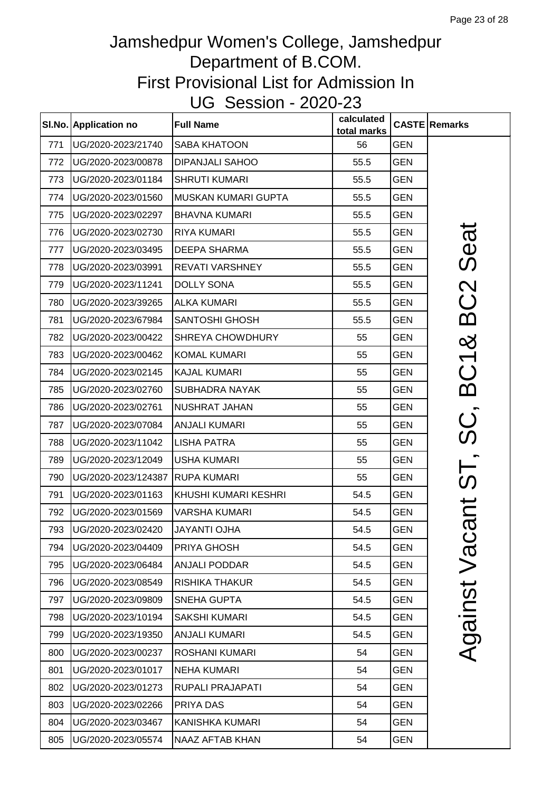|     | SI.No. Application no | <b>Full Name</b>        | calculated<br>total marks |            | <b>CASTE Remarks</b>                 |
|-----|-----------------------|-------------------------|---------------------------|------------|--------------------------------------|
| 771 | UG/2020-2023/21740    | <b>SABA KHATOON</b>     | 56                        | <b>GEN</b> |                                      |
| 772 | UG/2020-2023/00878    | <b>DIPANJALI SAHOO</b>  | 55.5                      | <b>GEN</b> |                                      |
| 773 | UG/2020-2023/01184    | <b>SHRUTI KUMARI</b>    | 55.5                      | <b>GEN</b> |                                      |
| 774 | UG/2020-2023/01560    | MUSKAN KUMARI GUPTA     | 55.5                      | <b>GEN</b> |                                      |
| 775 | UG/2020-2023/02297    | <b>BHAVNA KUMARI</b>    | 55.5                      | <b>GEN</b> |                                      |
| 776 | UG/2020-2023/02730    | <b>RIYA KUMARI</b>      | 55.5                      | <b>GEN</b> | Seat                                 |
| 777 | UG/2020-2023/03495    | <b>DEEPA SHARMA</b>     | 55.5                      | GEN        |                                      |
| 778 | UG/2020-2023/03991    | REVATI VARSHNEY         | 55.5                      | <b>GEN</b> |                                      |
| 779 | UG/2020-2023/11241    | <b>DOLLY SONA</b>       | 55.5                      | <b>GEN</b> | BC2                                  |
| 780 | UG/2020-2023/39265    | <b>ALKA KUMARI</b>      | 55.5                      | <b>GEN</b> |                                      |
| 781 | UG/2020-2023/67984    | <b>SANTOSHI GHOSH</b>   | 55.5                      | <b>GEN</b> |                                      |
| 782 | UG/2020-2023/00422    | SHREYA CHOWDHURY        | 55                        | <b>GEN</b> |                                      |
| 783 | UG/2020-2023/00462    | <b>KOMAL KUMARI</b>     | 55                        | <b>GEN</b> | BC1&                                 |
| 784 | UG/2020-2023/02145    | <b>KAJAL KUMARI</b>     | 55                        | <b>GEN</b> |                                      |
| 785 | UG/2020-2023/02760    | <b>SUBHADRA NAYAK</b>   | 55                        | <b>GEN</b> |                                      |
| 786 | UG/2020-2023/02761    | NUSHRAT JAHAN           | 55                        | <b>GEN</b> |                                      |
| 787 | UG/2020-2023/07084    | <b>ANJALI KUMARI</b>    | 55                        | <b>GEN</b> | ပ္က                                  |
| 788 | UG/2020-2023/11042    | <b>LISHA PATRA</b>      | 55                        | <b>GEN</b> |                                      |
| 789 | UG/2020-2023/12049    | <b>USHA KUMARI</b>      | 55                        | <b>GEN</b> |                                      |
| 790 | UG/2020-2023/124387   | <b>RUPA KUMARI</b>      | 55                        | <b>GEN</b> |                                      |
| 791 | UG/2020-2023/01163    | KHUSHI KUMARI KESHRI    | 54.5                      | <b>GEN</b> |                                      |
| 792 | UG/2020-2023/01569    | <b>VARSHA KUMARI</b>    | 54.5                      | <b>GEN</b> | $\overline{\overline{\overline{C}}}$ |
| 793 | UG/2020-2023/02420    | <b>JAYANTI OJHA</b>     | 54.5                      | <b>GEN</b> | ൯                                    |
| 794 | UG/2020-2023/04409    | PRIYA GHOSH             | 54.5                      | GEN        | Vaci                                 |
| 795 | UG/2020-2023/06484    | <b>ANJALI PODDAR</b>    | 54.5                      | <b>GEN</b> |                                      |
| 796 | UG/2020-2023/08549    | <b>RISHIKA THAKUR</b>   | 54.5                      | GEN        |                                      |
| 797 | UG/2020-2023/09809    | SNEHA GUPTA             | 54.5                      | GEN        | Against                              |
| 798 | UG/2020-2023/10194    | <b>SAKSHI KUMARI</b>    | 54.5                      | <b>GEN</b> |                                      |
| 799 | UG/2020-2023/19350    | <b>ANJALI KUMARI</b>    | 54.5                      | GEN        |                                      |
| 800 | UG/2020-2023/00237    | <b>ROSHANI KUMARI</b>   | 54                        | GEN        |                                      |
| 801 | UG/2020-2023/01017    | <b>NEHA KUMARI</b>      | 54                        | <b>GEN</b> |                                      |
| 802 | UG/2020-2023/01273    | <b>RUPALI PRAJAPATI</b> | 54                        | <b>GEN</b> |                                      |
| 803 | UG/2020-2023/02266    | PRIYA DAS               | 54                        | <b>GEN</b> |                                      |
| 804 | UG/2020-2023/03467    | KANISHKA KUMARI         | 54                        | <b>GEN</b> |                                      |
| 805 | UG/2020-2023/05574    | NAAZ AFTAB KHAN         | 54                        | <b>GEN</b> |                                      |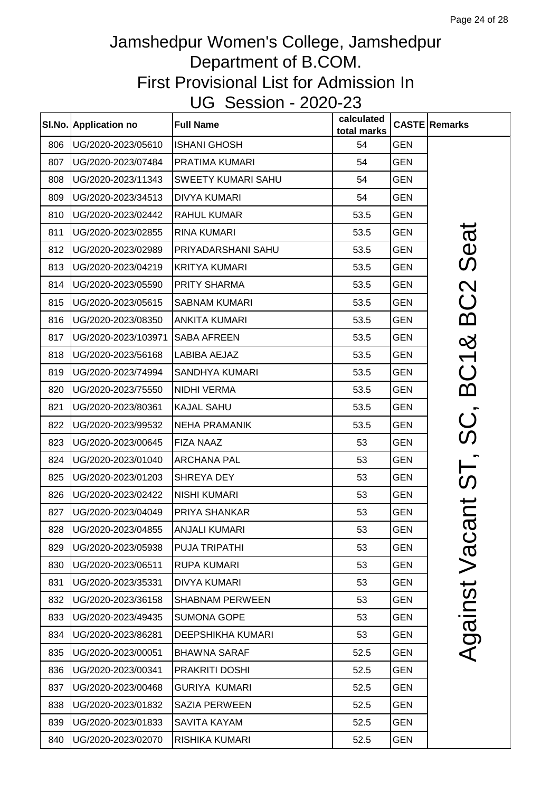|     | SI.No. Application no | <b>Full Name</b>          | calculated<br>total marks |            | <b>CASTE Remarks</b>      |
|-----|-----------------------|---------------------------|---------------------------|------------|---------------------------|
| 806 | UG/2020-2023/05610    | <b>ISHANI GHOSH</b>       | 54                        | <b>GEN</b> |                           |
| 807 | UG/2020-2023/07484    | PRATIMA KUMARI            | 54                        | <b>GEN</b> |                           |
| 808 | UG/2020-2023/11343    | <b>SWEETY KUMARI SAHU</b> | 54                        | <b>GEN</b> |                           |
| 809 | UG/2020-2023/34513    | <b>DIVYA KUMARI</b>       | 54                        | <b>GEN</b> |                           |
| 810 | UG/2020-2023/02442    | <b>RAHUL KUMAR</b>        | 53.5                      | <b>GEN</b> |                           |
| 811 | UG/2020-2023/02855    | <b>RINA KUMARI</b>        | 53.5                      | <b>GEN</b> | Seat                      |
| 812 | UG/2020-2023/02989    | PRIYADARSHANI SAHU        | 53.5                      | <b>GEN</b> |                           |
| 813 | UG/2020-2023/04219    | <b>KRITYA KUMARI</b>      | 53.5                      | <b>GEN</b> |                           |
| 814 | UG/2020-2023/05590    | <b>PRITY SHARMA</b>       | 53.5                      | <b>GEN</b> |                           |
| 815 | UG/2020-2023/05615    | <b>SABNAM KUMARI</b>      | 53.5                      | <b>GEN</b> | BC2                       |
| 816 | UG/2020-2023/08350    | <b>ANKITA KUMARI</b>      | 53.5                      | <b>GEN</b> |                           |
| 817 | UG/2020-2023/103971   | <b>SABA AFREEN</b>        | 53.5                      | <b>GEN</b> | ×්                        |
| 818 | UG/2020-2023/56168    | <b>LABIBA AEJAZ</b>       | 53.5                      | <b>GEN</b> |                           |
| 819 | UG/2020-2023/74994    | <b>SANDHYA KUMARI</b>     | 53.5                      | <b>GEN</b> | BC1                       |
| 820 | UG/2020-2023/75550    | <b>NIDHI VERMA</b>        | 53.5                      | <b>GEN</b> |                           |
| 821 | UG/2020-2023/80361    | <b>KAJAL SAHU</b>         | 53.5                      | <b>GEN</b> |                           |
| 822 | UG/2020-2023/99532    | <b>NEHA PRAMANIK</b>      | 53.5                      | <b>GEN</b> | ပ္က                       |
| 823 | UG/2020-2023/00645    | <b>FIZA NAAZ</b>          | 53                        | <b>GEN</b> |                           |
| 824 | UG/2020-2023/01040    | <b>ARCHANA PAL</b>        | 53                        | <b>GEN</b> | )<br>(၇                   |
| 825 | UG/2020-2023/01203    | SHREYA DEY                | 53                        | <b>GEN</b> |                           |
| 826 | UG/2020-2023/02422    | <b>NISHI KUMARI</b>       | 53                        | <b>GEN</b> |                           |
| 827 | UG/2020-2023/04049    | PRIYA SHANKAR             | 53                        | <b>GEN</b> | $\overline{\overline{C}}$ |
| 828 | UG/2020-2023/04855    | <b>ANJALI KUMARI</b>      | 53                        | <b>GEN</b> | ൯                         |
| 829 | UG/2020-2023/05938    | PUJA TRIPATHI             | 53                        | <b>GEN</b> | Vaci                      |
| 830 | UG/2020-2023/06511    | <b>RUPA KUMARI</b>        | 53                        | <b>GEN</b> |                           |
| 831 | UG/2020-2023/35331    | <b>DIVYA KUMARI</b>       | 53                        | <b>GEN</b> |                           |
| 832 | UG/2020-2023/36158    | <b>SHABNAM PERWEEN</b>    | 53                        | <b>GEN</b> | Against                   |
| 833 | UG/2020-2023/49435    | <b>SUMONA GOPE</b>        | 53                        | <b>GEN</b> |                           |
| 834 | UG/2020-2023/86281    | <b>DEEPSHIKHA KUMARI</b>  | 53                        | <b>GEN</b> |                           |
| 835 | UG/2020-2023/00051    | <b>BHAWNA SARAF</b>       | 52.5                      | <b>GEN</b> |                           |
| 836 | UG/2020-2023/00341    | PRAKRITI DOSHI            | 52.5                      | <b>GEN</b> |                           |
| 837 | UG/2020-2023/00468    | <b>GURIYA KUMARI</b>      | 52.5                      | <b>GEN</b> |                           |
| 838 | UG/2020-2023/01832    | <b>SAZIA PERWEEN</b>      | 52.5                      | <b>GEN</b> |                           |
| 839 | UG/2020-2023/01833    | SAVITA KAYAM              | 52.5                      | <b>GEN</b> |                           |
| 840 | UG/2020-2023/02070    | <b>RISHIKA KUMARI</b>     | 52.5                      | <b>GEN</b> |                           |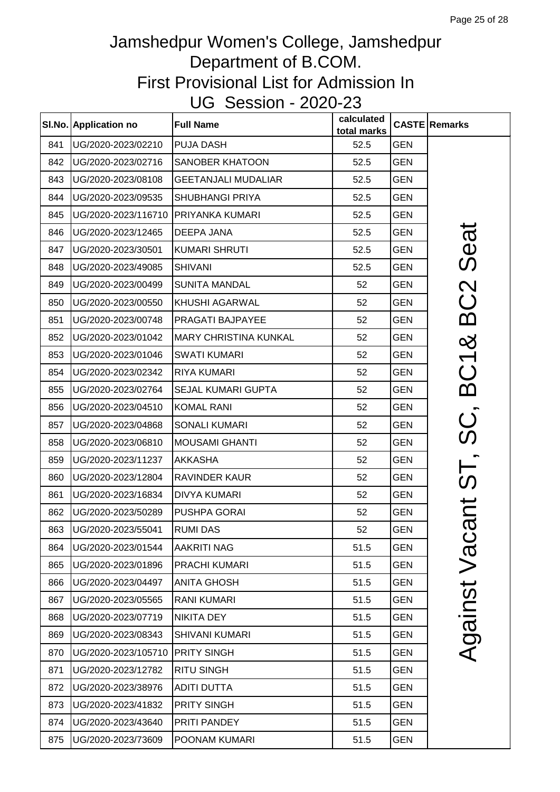|     | SI.No. Application no | <b>Full Name</b>             | calculated<br>total marks |            | <b>CASTE Remarks</b>        |
|-----|-----------------------|------------------------------|---------------------------|------------|-----------------------------|
| 841 | UG/2020-2023/02210    | <b>PUJA DASH</b>             | 52.5                      | <b>GEN</b> |                             |
| 842 | UG/2020-2023/02716    | SANOBER KHATOON              | 52.5                      | <b>GEN</b> |                             |
| 843 | UG/2020-2023/08108    | <b>GEETANJALI MUDALIAR</b>   | 52.5                      | <b>GEN</b> |                             |
| 844 | UG/2020-2023/09535    | <b>SHUBHANGI PRIYA</b>       | 52.5                      | <b>GEN</b> |                             |
| 845 | UG/2020-2023/116710   | PRIYANKA KUMARI              | 52.5                      | <b>GEN</b> |                             |
| 846 | UG/2020-2023/12465    | DEEPA JANA                   | 52.5                      | <b>GEN</b> | Seat                        |
| 847 | UG/2020-2023/30501    | <b>KUMARI SHRUTI</b>         | 52.5                      | <b>GEN</b> |                             |
| 848 | UG/2020-2023/49085    | <b>SHIVANI</b>               | 52.5                      | <b>GEN</b> |                             |
| 849 | UG/2020-2023/00499    | <b>SUNITA MANDAL</b>         | 52                        | <b>GEN</b> |                             |
| 850 | UG/2020-2023/00550    | KHUSHI AGARWAL               | 52                        | <b>GEN</b> |                             |
| 851 | UG/2020-2023/00748    | PRAGATI BAJPAYEE             | 52                        | <b>GEN</b> | BC2                         |
| 852 | UG/2020-2023/01042    | <b>MARY CHRISTINA KUNKAL</b> | 52                        | <b>GEN</b> |                             |
| 853 | UG/2020-2023/01046    | <b>SWATI KUMARI</b>          | 52                        | <b>GEN</b> |                             |
| 854 | UG/2020-2023/02342    | <b>RIYA KUMARI</b>           | 52                        | <b>GEN</b> | BC1&                        |
| 855 | UG/2020-2023/02764    | <b>SEJAL KUMARI GUPTA</b>    | 52                        | <b>GEN</b> |                             |
| 856 | UG/2020-2023/04510    | <b>KOMAL RANI</b>            | 52                        | <b>GEN</b> |                             |
| 857 | UG/2020-2023/04868    | <b>SONALI KUMARI</b>         | 52                        | <b>GEN</b> | ပ္လ်                        |
| 858 | UG/2020-2023/06810    | <b>MOUSAMI GHANTI</b>        | 52                        | <b>GEN</b> |                             |
| 859 | UG/2020-2023/11237    | <b>AKKASHA</b>               | 52                        | <b>GEN</b> |                             |
| 860 | UG/2020-2023/12804    | RAVINDER KAUR                | 52                        | <b>GEN</b> | nt ST,                      |
| 861 | UG/2020-2023/16834    | <b>DIVYA KUMARI</b>          | 52                        | <b>GEN</b> |                             |
| 862 | UG/2020-2023/50289    | <b>PUSHPA GORAI</b>          | 52                        | <b>GEN</b> |                             |
| 863 | UG/2020-2023/55041    | <b>RUMI DAS</b>              | 52                        | <b>GEN</b> | $\boldsymbol{\bar{\varpi}}$ |
| 864 | UG/2020-2023/01544    | AAKRITI NAG                  | 51.5                      | <b>GEN</b> |                             |
| 865 | UG/2020-2023/01896    | PRACHI KUMARI                | 51.5                      | <b>GEN</b> |                             |
| 866 | UG/2020-2023/04497    | <b>ANITA GHOSH</b>           | 51.5                      | <b>GEN</b> |                             |
| 867 | UG/2020-2023/05565    | <b>RANI KUMARI</b>           | 51.5                      | <b>GEN</b> | Against Vac                 |
| 868 | UG/2020-2023/07719    | <b>NIKITA DEY</b>            | 51.5                      | <b>GEN</b> |                             |
| 869 | UG/2020-2023/08343    | <b>SHIVANI KUMARI</b>        | 51.5                      | <b>GEN</b> |                             |
| 870 | UG/2020-2023/105710   | <b>PRITY SINGH</b>           | 51.5                      | <b>GEN</b> |                             |
| 871 | UG/2020-2023/12782    | <b>RITU SINGH</b>            | 51.5                      | <b>GEN</b> |                             |
| 872 | UG/2020-2023/38976    | <b>ADITI DUTTA</b>           | 51.5                      | <b>GEN</b> |                             |
| 873 | UG/2020-2023/41832    | PRITY SINGH                  | 51.5                      | <b>GEN</b> |                             |
| 874 | UG/2020-2023/43640    | PRITI PANDEY                 | 51.5                      | <b>GEN</b> |                             |
| 875 | UG/2020-2023/73609    | POONAM KUMARI                | 51.5                      | <b>GEN</b> |                             |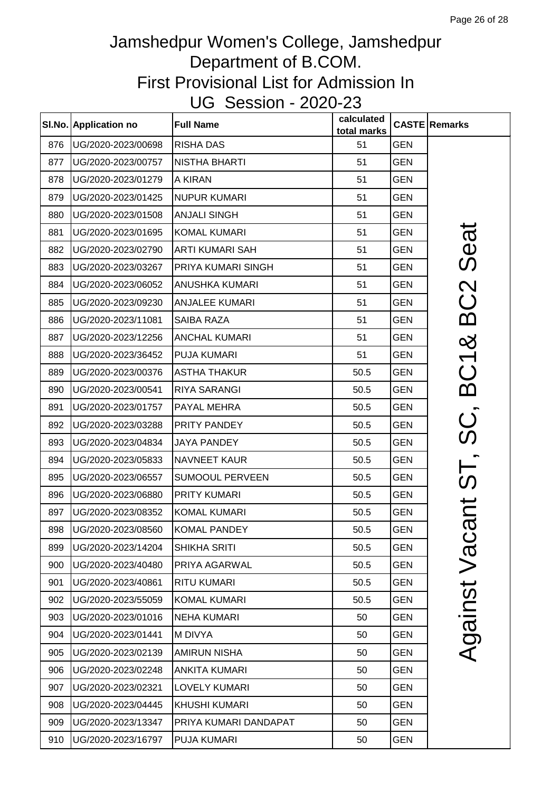|     | SI.No. Application no | <b>Full Name</b>       | calculated<br>total marks |            | <b>CASTE Remarks</b>        |
|-----|-----------------------|------------------------|---------------------------|------------|-----------------------------|
| 876 | UG/2020-2023/00698    | <b>RISHA DAS</b>       | 51                        | <b>GEN</b> |                             |
| 877 | UG/2020-2023/00757    | <b>NISTHA BHARTI</b>   | 51                        | <b>GEN</b> |                             |
| 878 | UG/2020-2023/01279    | A KIRAN                | 51                        | <b>GEN</b> |                             |
| 879 | UG/2020-2023/01425    | <b>NUPUR KUMARI</b>    | 51                        | <b>GEN</b> |                             |
| 880 | UG/2020-2023/01508    | <b>ANJALI SINGH</b>    | 51                        | <b>GEN</b> |                             |
| 881 | UG/2020-2023/01695    | <b>KOMAL KUMARI</b>    | 51                        | <b>GEN</b> |                             |
| 882 | UG/2020-2023/02790    | ARTI KUMARI SAH        | 51                        | <b>GEN</b> | Seat                        |
| 883 | UG/2020-2023/03267    | PRIYA KUMARI SINGH     | 51                        | <b>GEN</b> |                             |
| 884 | UG/2020-2023/06052    | <b>ANUSHKA KUMARI</b>  | 51                        | <b>GEN</b> |                             |
| 885 | UG/2020-2023/09230    | <b>ANJALEE KUMARI</b>  | 51                        | <b>GEN</b> |                             |
| 886 | UG/2020-2023/11081    | SAIBA RAZA             | 51                        | <b>GEN</b> | BC2                         |
| 887 | UG/2020-2023/12256    | <b>ANCHAL KUMARI</b>   | 51                        | <b>GEN</b> |                             |
| 888 | UG/2020-2023/36452    | PUJA KUMARI            | 51                        | <b>GEN</b> | BC1&                        |
| 889 | UG/2020-2023/00376    | <b>ASTHA THAKUR</b>    | 50.5                      | <b>GEN</b> |                             |
| 890 | UG/2020-2023/00541    | <b>RIYA SARANGI</b>    | 50.5                      | <b>GEN</b> |                             |
| 891 | UG/2020-2023/01757    | PAYAL MEHRA            | 50.5                      | <b>GEN</b> |                             |
| 892 | UG/2020-2023/03288    | PRITY PANDEY           | 50.5                      | GEN        |                             |
| 893 | UG/2020-2023/04834    | <b>JAYA PANDEY</b>     | 50.5                      | <b>GEN</b> | ST, SC                      |
| 894 | UG/2020-2023/05833    | <b>NAVNEET KAUR</b>    | 50.5                      | <b>GEN</b> |                             |
| 895 | UG/2020-2023/06557    | <b>SUMOOUL PERVEEN</b> | 50.5                      | GEN        |                             |
| 896 | UG/2020-2023/06880    | PRITY KUMARI           | 50.5                      | <b>GEN</b> | $\overline{\mathsf{L}}$     |
| 897 | UG/2020-2023/08352    | <b>KOMAL KUMARI</b>    | 50.5                      | <b>GEN</b> |                             |
| 898 | UG/2020-2023/08560    | <b>KOMAL PANDEY</b>    | 50.5                      | <b>GEN</b> | $\boldsymbol{\bar{\varpi}}$ |
| 899 | UG/2020-2023/14204    | <b>SHIKHA SRITI</b>    | 50.5                      | <b>GEN</b> | Vaci                        |
| 900 | UG/2020-2023/40480    | PRIYA AGARWAL          | 50.5                      | GEN        |                             |
| 901 | UG/2020-2023/40861    | <b>RITU KUMARI</b>     | 50.5                      | <b>GEN</b> |                             |
| 902 | UG/2020-2023/55059    | <b>KOMAL KUMARI</b>    | 50.5                      | GEN        | Against                     |
| 903 | UG/2020-2023/01016    | <b>NEHA KUMARI</b>     | 50                        | <b>GEN</b> |                             |
| 904 | UG/2020-2023/01441    | M DIVYA                | 50                        | GEN        |                             |
| 905 | UG/2020-2023/02139    | <b>AMIRUN NISHA</b>    | 50                        | GEN        |                             |
| 906 | UG/2020-2023/02248    | <b>ANKITA KUMARI</b>   | 50                        | <b>GEN</b> |                             |
| 907 | UG/2020-2023/02321    | <b>LOVELY KUMARI</b>   | 50                        | <b>GEN</b> |                             |
| 908 | UG/2020-2023/04445    | <b>KHUSHI KUMARI</b>   | 50                        | <b>GEN</b> |                             |
| 909 | UG/2020-2023/13347    | PRIYA KUMARI DANDAPAT  | 50                        | <b>GEN</b> |                             |
| 910 | UG/2020-2023/16797    | PUJA KUMARI            | 50                        | <b>GEN</b> |                             |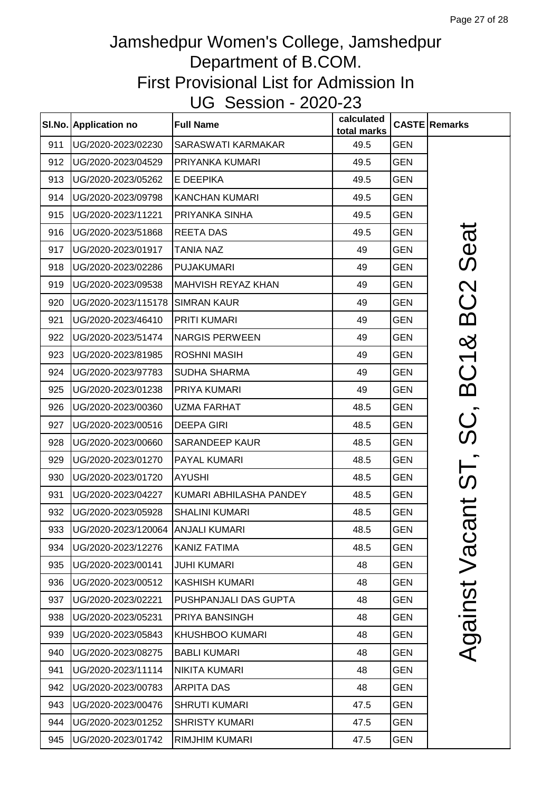|     | SI.No. Application no             | <b>Full Name</b>          | calculated<br>total marks |            | <b>CASTE Remarks</b>      |
|-----|-----------------------------------|---------------------------|---------------------------|------------|---------------------------|
| 911 | UG/2020-2023/02230                | <b>SARASWATI KARMAKAR</b> | 49.5                      | <b>GEN</b> |                           |
| 912 | UG/2020-2023/04529                | PRIYANKA KUMARI           | 49.5                      | <b>GEN</b> |                           |
| 913 | UG/2020-2023/05262                | E DEEPIKA                 | 49.5                      | <b>GEN</b> |                           |
| 914 | UG/2020-2023/09798                | <b>KANCHAN KUMARI</b>     | 49.5                      | <b>GEN</b> |                           |
| 915 | UG/2020-2023/11221                | PRIYANKA SINHA            | 49.5                      | <b>GEN</b> |                           |
| 916 | UG/2020-2023/51868                | <b>REETA DAS</b>          | 49.5                      | <b>GEN</b> | Seat                      |
| 917 | UG/2020-2023/01917                | <b>TANIA NAZ</b>          | 49                        | <b>GEN</b> |                           |
| 918 | UG/2020-2023/02286                | <b>PUJAKUMARI</b>         | 49                        | <b>GEN</b> |                           |
| 919 | UG/2020-2023/09538                | <b>MAHVISH REYAZ KHAN</b> | 49                        | <b>GEN</b> |                           |
| 920 | UG/2020-2023/115178 SIMRAN KAUR   |                           | 49                        | <b>GEN</b> | BC2                       |
| 921 | UG/2020-2023/46410                | <b>PRITI KUMARI</b>       | 49                        | <b>GEN</b> |                           |
| 922 | UG/2020-2023/51474                | <b>NARGIS PERWEEN</b>     | 49                        | <b>GEN</b> | œර                        |
| 923 | UG/2020-2023/81985                | <b>ROSHNI MASIH</b>       | 49                        | <b>GEN</b> |                           |
| 924 | UG/2020-2023/97783                | SUDHA SHARMA              | 49                        | <b>GEN</b> | BC1                       |
| 925 | UG/2020-2023/01238                | PRIYA KUMARI              | 49                        | <b>GEN</b> |                           |
| 926 | UG/2020-2023/00360                | <b>UZMA FARHAT</b>        | 48.5                      | <b>GEN</b> |                           |
| 927 | UG/2020-2023/00516                | <b>DEEPA GIRI</b>         | 48.5                      | <b>GEN</b> | ပ္တ                       |
| 928 | UG/2020-2023/00660                | <b>SARANDEEP KAUR</b>     | 48.5                      | <b>GEN</b> |                           |
| 929 | UG/2020-2023/01270                | <b>PAYAL KUMARI</b>       | 48.5                      | <b>GEN</b> |                           |
| 930 | UG/2020-2023/01720                | <b>AYUSHI</b>             | 48.5                      | <b>GEN</b> | )<br>(၃                   |
| 931 | UG/2020-2023/04227                | KUMARI ABHILASHA PANDEY   | 48.5                      | <b>GEN</b> |                           |
| 932 | UG/2020-2023/05928                | <b>SHALINI KUMARI</b>     | 48.5                      | <b>GEN</b> | $\overline{\overline{C}}$ |
| 933 | UG/2020-2023/120064 ANJALI KUMARI |                           | 48.5                      | <b>GEN</b> | ത                         |
| 934 | UG/2020-2023/12276                | <b>KANIZ FATIMA</b>       | 48.5                      | <b>GEN</b> | Vaci                      |
| 935 | UG/2020-2023/00141                | <b>JUHI KUMARI</b>        | 48                        | <b>GEN</b> |                           |
| 936 | UG/2020-2023/00512                | <b>KASHISH KUMARI</b>     | 48                        | <b>GEN</b> |                           |
| 937 | UG/2020-2023/02221                | PUSHPANJALI DAS GUPTA     | 48                        | <b>GEN</b> | Against                   |
| 938 | UG/2020-2023/05231                | PRIYA BANSINGH            | 48                        | <b>GEN</b> |                           |
| 939 | UG/2020-2023/05843                | <b>KHUSHBOO KUMARI</b>    | 48                        | <b>GEN</b> |                           |
| 940 | UG/2020-2023/08275                | <b>BABLI KUMARI</b>       | 48                        | <b>GEN</b> |                           |
| 941 | UG/2020-2023/11114                | <b>NIKITA KUMARI</b>      | 48                        | <b>GEN</b> |                           |
| 942 | UG/2020-2023/00783                | <b>ARPITA DAS</b>         | 48                        | <b>GEN</b> |                           |
| 943 | UG/2020-2023/00476                | <b>SHRUTI KUMARI</b>      | 47.5                      | <b>GEN</b> |                           |
| 944 | UG/2020-2023/01252                | <b>SHRISTY KUMARI</b>     | 47.5                      | <b>GEN</b> |                           |
| 945 | UG/2020-2023/01742                | <b>RIMJHIM KUMARI</b>     | 47.5                      | <b>GEN</b> |                           |